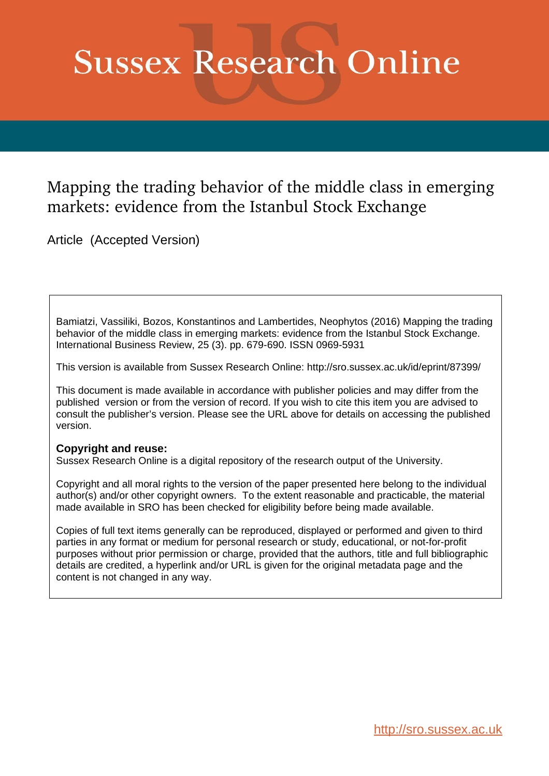# **Sussex Research Online**

# Mapping the trading behavior of the middle class in emerging markets: evidence from the Istanbul Stock Exchange

Article (Accepted Version)

Bamiatzi, Vassiliki, Bozos, Konstantinos and Lambertides, Neophytos (2016) Mapping the trading behavior of the middle class in emerging markets: evidence from the Istanbul Stock Exchange. International Business Review, 25 (3). pp. 679-690. ISSN 0969-5931

This version is available from Sussex Research Online: http://sro.sussex.ac.uk/id/eprint/87399/

This document is made available in accordance with publisher policies and may differ from the published version or from the version of record. If you wish to cite this item you are advised to consult the publisher's version. Please see the URL above for details on accessing the published version.

#### **Copyright and reuse:**

Sussex Research Online is a digital repository of the research output of the University.

Copyright and all moral rights to the version of the paper presented here belong to the individual author(s) and/or other copyright owners. To the extent reasonable and practicable, the material made available in SRO has been checked for eligibility before being made available.

Copies of full text items generally can be reproduced, displayed or performed and given to third parties in any format or medium for personal research or study, educational, or not-for-profit purposes without prior permission or charge, provided that the authors, title and full bibliographic details are credited, a hyperlink and/or URL is given for the original metadata page and the content is not changed in any way.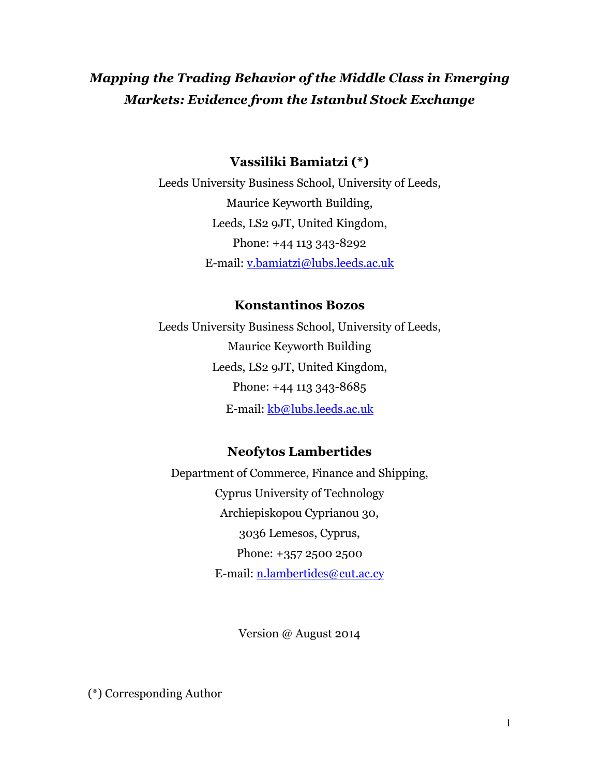# *Mapping the Trading Behavior of the Middle Class in Emerging Markets: Evidence from the Istanbul Stock Exchange*

# **Vassiliki Bamiatzi (\*)**

Leeds University Business School, University of Leeds, Maurice Keyworth Building, Leeds, LS2 9JT, United Kingdom, Phone: +44 113 343-8292 E-mail: v.bamiatzi@lubs.leeds.ac.uk

### **Konstantinos Bozos**

Leeds University Business School, University of Leeds, Maurice Keyworth Building Leeds, LS2 9JT, United Kingdom, Phone: +44 113 343-8685 E-mail: kb@lubs.leeds.ac.uk

## **Neofytos Lambertides**

Department of Commerce, Finance and Shipping, Cyprus University of Technology Archiepiskopou Cyprianou 30, 3036 Lemesos, Cyprus, Phone: +357 2500 2500 E-mail: n.lambertides@cut.ac.cy

Version @ August 2014

(\*) Corresponding Author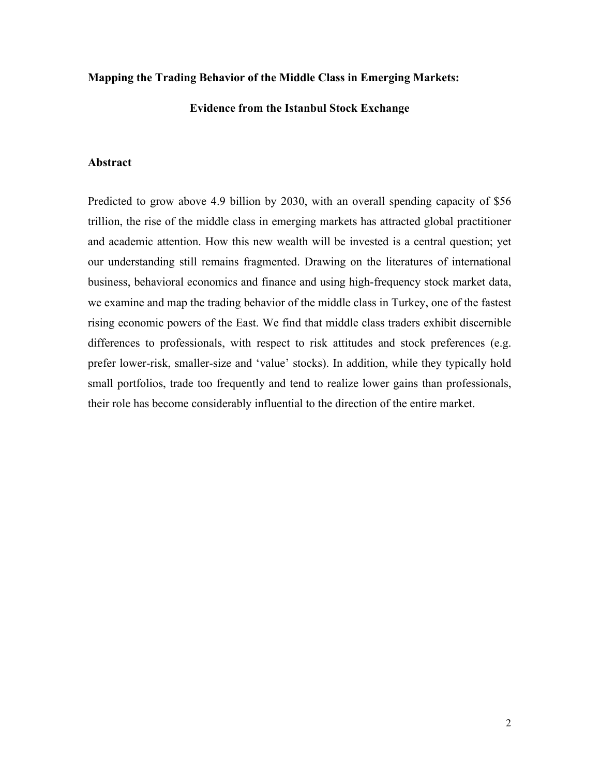#### **Mapping the Trading Behavior of the Middle Class in Emerging Markets:**

#### **Evidence from the Istanbul Stock Exchange**

#### **Abstract**

Predicted to grow above 4.9 billion by 2030, with an overall spending capacity of \$56 trillion, the rise of the middle class in emerging markets has attracted global practitioner and academic attention. How this new wealth will be invested is a central question; yet our understanding still remains fragmented. Drawing on the literatures of international business, behavioral economics and finance and using high-frequency stock market data, we examine and map the trading behavior of the middle class in Turkey, one of the fastest rising economic powers of the East. We find that middle class traders exhibit discernible differences to professionals, with respect to risk attitudes and stock preferences (e.g. prefer lower-risk, smaller-size and 'value' stocks). In addition, while they typically hold small portfolios, trade too frequently and tend to realize lower gains than professionals, their role has become considerably influential to the direction of the entire market.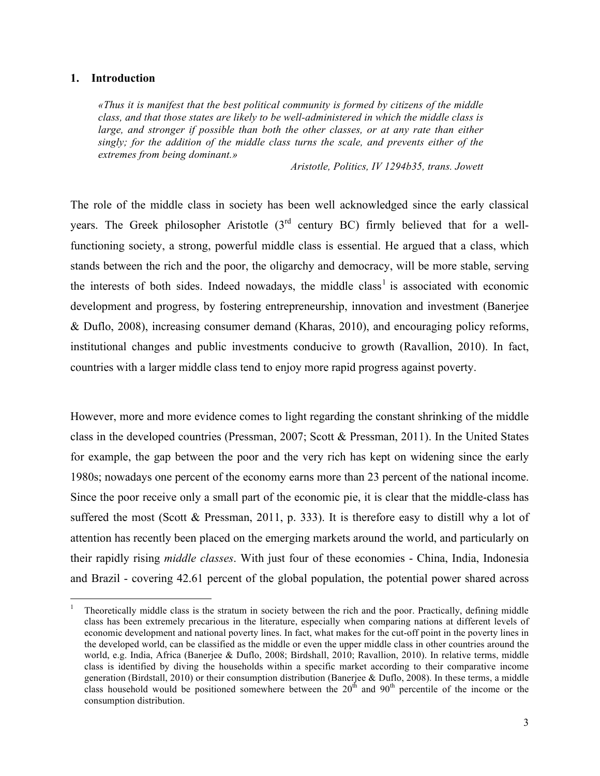#### **1. Introduction**

*«Thus it is manifest that the best political community is formed by citizens of the middle class, and that those states are likely to be well-administered in which the middle class is large, and stronger if possible than both the other classes, or at any rate than either singly; for the addition of the middle class turns the scale, and prevents either of the extremes from being dominant.»*

*Aristotle, Politics, IV 1294b35, trans. Jowett*

The role of the middle class in society has been well acknowledged since the early classical years. The Greek philosopher Aristotle  $3<sup>rd</sup>$  century BC) firmly believed that for a wellfunctioning society, a strong, powerful middle class is essential. He argued that a class, which stands between the rich and the poor, the oligarchy and democracy, will be more stable, serving the interests of both sides. Indeed nowadays, the middle class<sup>1</sup> is associated with economic development and progress, by fostering entrepreneurship, innovation and investment (Banerjee & Duflo, 2008), increasing consumer demand (Kharas, 2010), and encouraging policy reforms, institutional changes and public investments conducive to growth (Ravallion, 2010). In fact, countries with a larger middle class tend to enjoy more rapid progress against poverty.

However, more and more evidence comes to light regarding the constant shrinking of the middle class in the developed countries (Pressman, 2007; Scott & Pressman, 2011). In the United States for example, the gap between the poor and the very rich has kept on widening since the early 1980s; nowadays one percent of the economy earns more than 23 percent of the national income. Since the poor receive only a small part of the economic pie, it is clear that the middle-class has suffered the most (Scott & Pressman, 2011, p. 333). It is therefore easy to distill why a lot of attention has recently been placed on the emerging markets around the world, and particularly on their rapidly rising *middle classes*. With just four of these economies - China, India, Indonesia and Brazil - covering 42.61 percent of the global population, the potential power shared across

 <sup>1</sup> Theoretically middle class is the stratum in society between the rich and the poor. Practically, defining middle class has been extremely precarious in the literature, especially when comparing nations at different levels of economic development and national poverty lines. In fact, what makes for the cut-off point in the poverty lines in the developed world, can be classified as the middle or even the upper middle class in other countries around the world, e.g. India, Africa (Banerjee & Duflo, 2008; Birdshall, 2010; Ravallion, 2010). In relative terms, middle class is identified by diving the households within a specific market according to their comparative income generation (Birdstall, 2010) or their consumption distribution (Banerjee & Duflo, 2008). In these terms, a middle class household would be positioned somewhere between the  $20<sup>th</sup>$  and  $90<sup>th</sup>$  percentile of the income or the consumption distribution.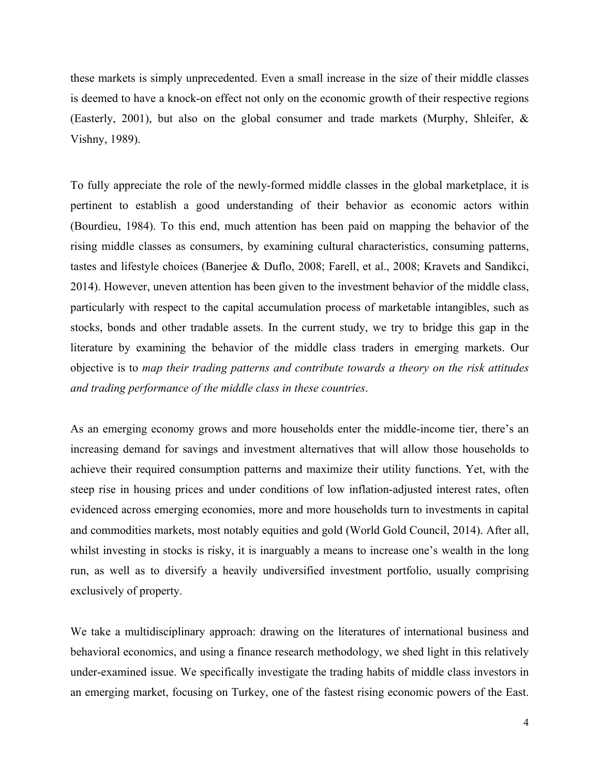these markets is simply unprecedented. Even a small increase in the size of their middle classes is deemed to have a knock-on effect not only on the economic growth of their respective regions (Easterly, 2001), but also on the global consumer and trade markets (Murphy, Shleifer, & Vishny, 1989).

To fully appreciate the role of the newly-formed middle classes in the global marketplace, it is pertinent to establish a good understanding of their behavior as economic actors within (Bourdieu, 1984). To this end, much attention has been paid on mapping the behavior of the rising middle classes as consumers, by examining cultural characteristics, consuming patterns, tastes and lifestyle choices (Banerjee & Duflo, 2008; Farell, et al., 2008; Kravets and Sandikci, 2014). However, uneven attention has been given to the investment behavior of the middle class, particularly with respect to the capital accumulation process of marketable intangibles, such as stocks, bonds and other tradable assets. In the current study, we try to bridge this gap in the literature by examining the behavior of the middle class traders in emerging markets. Our objective is to *map their trading patterns and contribute towards a theory on the risk attitudes and trading performance of the middle class in these countries*.

As an emerging economy grows and more households enter the middle-income tier, there's an increasing demand for savings and investment alternatives that will allow those households to achieve their required consumption patterns and maximize their utility functions. Yet, with the steep rise in housing prices and under conditions of low inflation-adjusted interest rates, often evidenced across emerging economies, more and more households turn to investments in capital and commodities markets, most notably equities and gold (World Gold Council, 2014). After all, whilst investing in stocks is risky, it is inarguably a means to increase one's wealth in the long run, as well as to diversify a heavily undiversified investment portfolio, usually comprising exclusively of property.

We take a multidisciplinary approach: drawing on the literatures of international business and behavioral economics, and using a finance research methodology, we shed light in this relatively under-examined issue. We specifically investigate the trading habits of middle class investors in an emerging market, focusing on Turkey, one of the fastest rising economic powers of the East.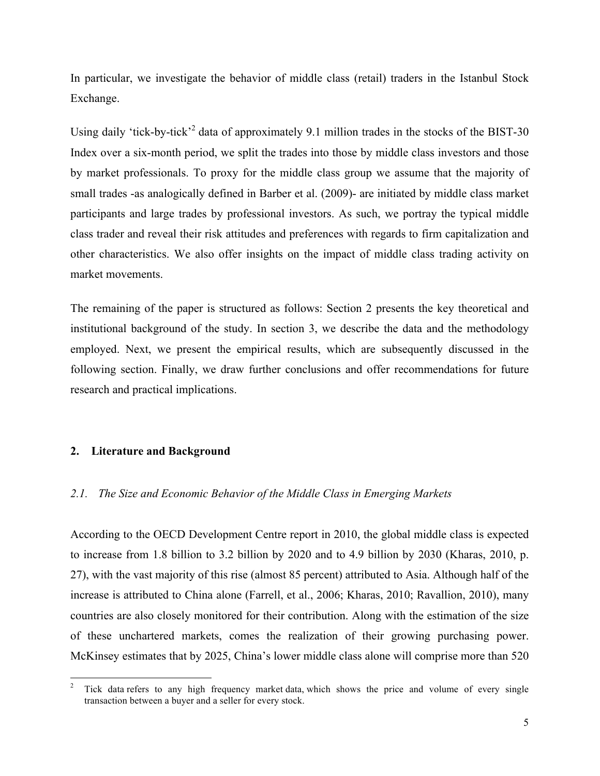In particular, we investigate the behavior of middle class (retail) traders in the Istanbul Stock Exchange.

Using daily 'tick-by-tick'<sup>2</sup> data of approximately 9.1 million trades in the stocks of the BIST-30 Index over a six-month period, we split the trades into those by middle class investors and those by market professionals. To proxy for the middle class group we assume that the majority of small trades -as analogically defined in Barber et al. (2009)- are initiated by middle class market participants and large trades by professional investors. As such, we portray the typical middle class trader and reveal their risk attitudes and preferences with regards to firm capitalization and other characteristics. We also offer insights on the impact of middle class trading activity on market movements.

The remaining of the paper is structured as follows: Section 2 presents the key theoretical and institutional background of the study. In section 3, we describe the data and the methodology employed. Next, we present the empirical results, which are subsequently discussed in the following section. Finally, we draw further conclusions and offer recommendations for future research and practical implications.

#### **2. Literature and Background**

#### *2.1. The Size and Economic Behavior of the Middle Class in Emerging Markets*

According to the OECD Development Centre report in 2010, the global middle class is expected to increase from 1.8 billion to 3.2 billion by 2020 and to 4.9 billion by 2030 (Kharas, 2010, p. 27), with the vast majority of this rise (almost 85 percent) attributed to Asia. Although half of the increase is attributed to China alone (Farrell, et al., 2006; Kharas, 2010; Ravallion, 2010), many countries are also closely monitored for their contribution. Along with the estimation of the size of these unchartered markets, comes the realization of their growing purchasing power. McKinsey estimates that by 2025, China's lower middle class alone will comprise more than 520

<sup>&</sup>lt;sup>2</sup> Tick data refers to any high frequency market data, which shows the price and volume of every single transaction between a buyer and a seller for every stock.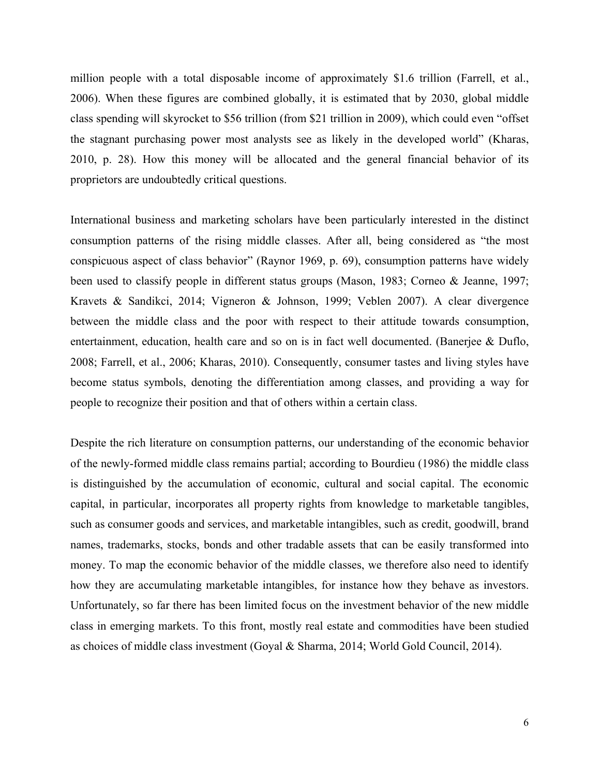million people with a total disposable income of approximately \$1.6 trillion (Farrell, et al., 2006). When these figures are combined globally, it is estimated that by 2030, global middle class spending will skyrocket to \$56 trillion (from \$21 trillion in 2009), which could even "offset the stagnant purchasing power most analysts see as likely in the developed world" (Kharas, 2010, p. 28). How this money will be allocated and the general financial behavior of its proprietors are undoubtedly critical questions.

International business and marketing scholars have been particularly interested in the distinct consumption patterns of the rising middle classes. After all, being considered as "the most conspicuous aspect of class behavior" (Raynor 1969, p. 69), consumption patterns have widely been used to classify people in different status groups (Mason, 1983; Corneo & Jeanne, 1997; Kravets & Sandikci, 2014; Vigneron & Johnson, 1999; Veblen 2007). A clear divergence between the middle class and the poor with respect to their attitude towards consumption, entertainment, education, health care and so on is in fact well documented. (Banerjee & Duflo, 2008; Farrell, et al., 2006; Kharas, 2010). Consequently, consumer tastes and living styles have become status symbols, denoting the differentiation among classes, and providing a way for people to recognize their position and that of others within a certain class.

Despite the rich literature on consumption patterns, our understanding of the economic behavior of the newly-formed middle class remains partial; according to Bourdieu (1986) the middle class is distinguished by the accumulation of economic, cultural and social capital. The economic capital, in particular, incorporates all property rights from knowledge to marketable tangibles, such as consumer goods and services, and marketable intangibles, such as credit, goodwill, brand names, trademarks, stocks, bonds and other tradable assets that can be easily transformed into money. To map the economic behavior of the middle classes, we therefore also need to identify how they are accumulating marketable intangibles, for instance how they behave as investors. Unfortunately, so far there has been limited focus on the investment behavior of the new middle class in emerging markets. To this front, mostly real estate and commodities have been studied as choices of middle class investment (Goyal & Sharma, 2014; World Gold Council, 2014).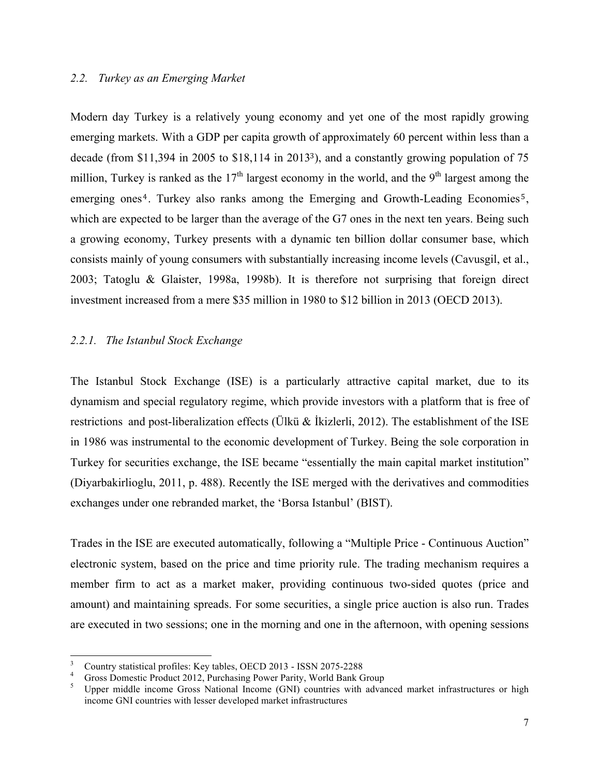#### *2.2. Turkey as an Emerging Market*

Modern day Turkey is a relatively young economy and yet one of the most rapidly growing emerging markets. With a GDP per capita growth of approximately 60 percent within less than a decade (from \$11,394 in 2005 to \$18,114 in 20133), and a constantly growing population of 75 million, Turkey is ranked as the  $17<sup>th</sup>$  largest economy in the world, and the 9<sup>th</sup> largest among the emerging ones<sup>4</sup>. Turkey also ranks among the Emerging and Growth-Leading Economies<sup>5</sup>, which are expected to be larger than the average of the G7 ones in the next ten years. Being such a growing economy, Turkey presents with a dynamic ten billion dollar consumer base, which consists mainly of young consumers with substantially increasing income levels (Cavusgil, et al., 2003; Tatoglu & Glaister, 1998a, 1998b). It is therefore not surprising that foreign direct investment increased from a mere \$35 million in 1980 to \$12 billion in 2013 (OECD 2013).

#### *2.2.1. The Istanbul Stock Exchange*

The Istanbul Stock Exchange (ISE) is a particularly attractive capital market, due to its dynamism and special regulatory regime, which provide investors with a platform that is free of restrictions and post-liberalization effects (Ülkü & İkizlerli, 2012). The establishment of the ISE in 1986 was instrumental to the economic development of Turkey. Being the sole corporation in Turkey for securities exchange, the ISE became "essentially the main capital market institution" (Diyarbakirlioglu, 2011, p. 488). Recently the ISE merged with the derivatives and commodities exchanges under one rebranded market, the 'Borsa Istanbul' (BIST).

Trades in the ISE are executed automatically, following a "Multiple Price - Continuous Auction" electronic system, based on the price and time priority rule. The trading mechanism requires a member firm to act as a market maker, providing continuous two-sided quotes (price and amount) and maintaining spreads. For some securities, a single price auction is also run. Trades are executed in two sessions; one in the morning and one in the afternoon, with opening sessions

<sup>&</sup>lt;sup>3</sup> Country statistical profiles: Key tables, OECD 2013 - ISSN 2075-2288<br><sup>4</sup> Gross Domestic Product 2012, Purchasing Power Parity, World Bank Group<br><sup>5</sup> Upper middle income Gross National Income (GNI) countries with advance income GNI countries with lesser developed market infrastructures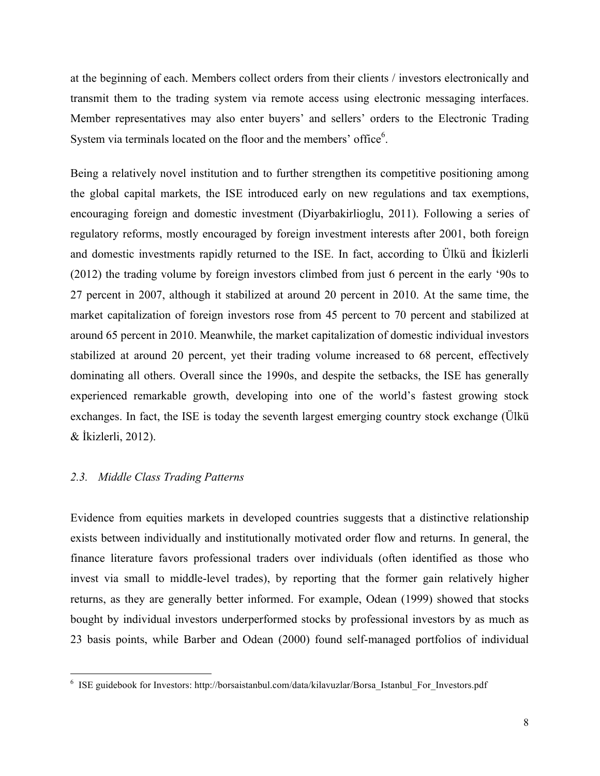at the beginning of each. Members collect orders from their clients / investors electronically and transmit them to the trading system via remote access using electronic messaging interfaces. Member representatives may also enter buyers' and sellers' orders to the Electronic Trading System via terminals located on the floor and the members' office $6$ .

Being a relatively novel institution and to further strengthen its competitive positioning among the global capital markets, the ISE introduced early on new regulations and tax exemptions, encouraging foreign and domestic investment (Diyarbakirlioglu, 2011). Following a series of regulatory reforms, mostly encouraged by foreign investment interests after 2001, both foreign and domestic investments rapidly returned to the ISE. In fact, according to Ülkü and İkizlerli (2012) the trading volume by foreign investors climbed from just 6 percent in the early '90s to 27 percent in 2007, although it stabilized at around 20 percent in 2010. At the same time, the market capitalization of foreign investors rose from 45 percent to 70 percent and stabilized at around 65 percent in 2010. Meanwhile, the market capitalization of domestic individual investors stabilized at around 20 percent, yet their trading volume increased to 68 percent, effectively dominating all others. Overall since the 1990s, and despite the setbacks, the ISE has generally experienced remarkable growth, developing into one of the world's fastest growing stock exchanges. In fact, the ISE is today the seventh largest emerging country stock exchange (Ülkü & İkizlerli, 2012).

#### *2.3. Middle Class Trading Patterns*

Evidence from equities markets in developed countries suggests that a distinctive relationship exists between individually and institutionally motivated order flow and returns. In general, the finance literature favors professional traders over individuals (often identified as those who invest via small to middle-level trades), by reporting that the former gain relatively higher returns, as they are generally better informed. For example, Odean (1999) showed that stocks bought by individual investors underperformed stocks by professional investors by as much as 23 basis points, while Barber and Odean (2000) found self-managed portfolios of individual

<sup>&</sup>lt;sup>6</sup> ISE guidebook for Investors: http://borsaistanbul.com/data/kilavuzlar/Borsa Istanbul For Investors.pdf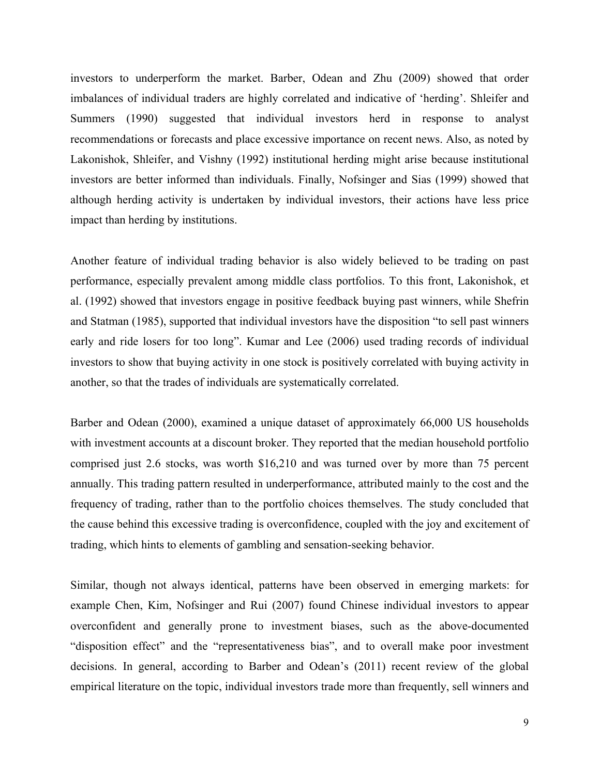investors to underperform the market. Barber, Odean and Zhu (2009) showed that order imbalances of individual traders are highly correlated and indicative of 'herding'. Shleifer and Summers (1990) suggested that individual investors herd in response to analyst recommendations or forecasts and place excessive importance on recent news. Also, as noted by Lakonishok, Shleifer, and Vishny (1992) institutional herding might arise because institutional investors are better informed than individuals. Finally, Nofsinger and Sias (1999) showed that although herding activity is undertaken by individual investors, their actions have less price impact than herding by institutions.

Another feature of individual trading behavior is also widely believed to be trading on past performance, especially prevalent among middle class portfolios. To this front, Lakonishok, et al. (1992) showed that investors engage in positive feedback buying past winners, while Shefrin and Statman (1985), supported that individual investors have the disposition "to sell past winners early and ride losers for too long". Kumar and Lee (2006) used trading records of individual investors to show that buying activity in one stock is positively correlated with buying activity in another, so that the trades of individuals are systematically correlated.

Barber and Odean (2000), examined a unique dataset of approximately 66,000 US households with investment accounts at a discount broker. They reported that the median household portfolio comprised just 2.6 stocks, was worth \$16,210 and was turned over by more than 75 percent annually. This trading pattern resulted in underperformance, attributed mainly to the cost and the frequency of trading, rather than to the portfolio choices themselves. The study concluded that the cause behind this excessive trading is overconfidence, coupled with the joy and excitement of trading, which hints to elements of gambling and sensation-seeking behavior.

Similar, though not always identical, patterns have been observed in emerging markets: for example Chen, Kim, Nofsinger and Rui (2007) found Chinese individual investors to appear overconfident and generally prone to investment biases, such as the above-documented "disposition effect" and the "representativeness bias", and to overall make poor investment decisions. In general, according to Barber and Odean's (2011) recent review of the global empirical literature on the topic, individual investors trade more than frequently, sell winners and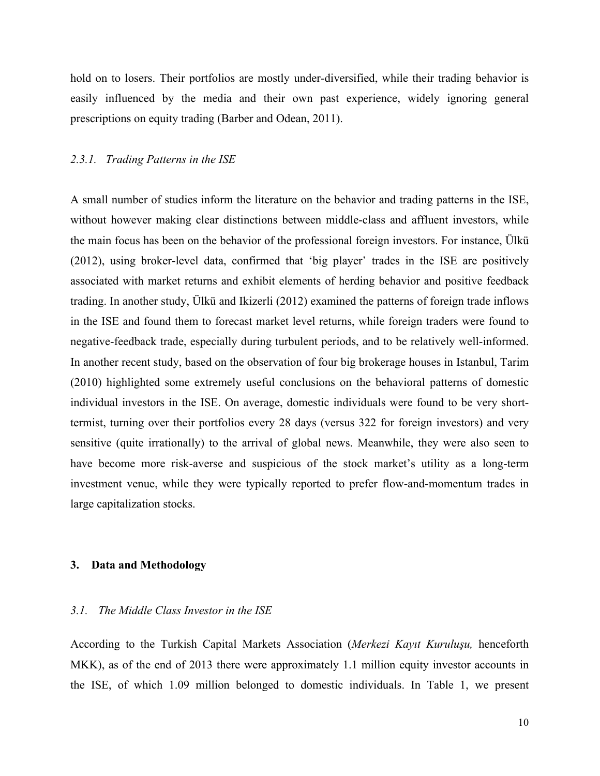hold on to losers. Their portfolios are mostly under-diversified, while their trading behavior is easily influenced by the media and their own past experience, widely ignoring general prescriptions on equity trading (Barber and Odean, 2011).

#### *2.3.1. Trading Patterns in the ISE*

A small number of studies inform the literature on the behavior and trading patterns in the ISE, without however making clear distinctions between middle-class and affluent investors, while the main focus has been on the behavior of the professional foreign investors. For instance, Ülkü (2012), using broker-level data, confirmed that 'big player' trades in the ISE are positively associated with market returns and exhibit elements of herding behavior and positive feedback trading. In another study, Ülkü and Ikizerli (2012) examined the patterns of foreign trade inflows in the ISE and found them to forecast market level returns, while foreign traders were found to negative-feedback trade, especially during turbulent periods, and to be relatively well-informed. In another recent study, based on the observation of four big brokerage houses in Istanbul, Tarim (2010) highlighted some extremely useful conclusions on the behavioral patterns of domestic individual investors in the ISE. On average, domestic individuals were found to be very shorttermist, turning over their portfolios every 28 days (versus 322 for foreign investors) and very sensitive (quite irrationally) to the arrival of global news. Meanwhile, they were also seen to have become more risk-averse and suspicious of the stock market's utility as a long-term investment venue, while they were typically reported to prefer flow-and-momentum trades in large capitalization stocks.

#### **3. Data and Methodology**

#### *3.1. The Middle Class Investor in the ISE*

According to the Turkish Capital Markets Association (*Merkezi Kayıt Kuruluşu,* henceforth MKK), as of the end of 2013 there were approximately 1.1 million equity investor accounts in the ISE, of which 1.09 million belonged to domestic individuals. In Table 1, we present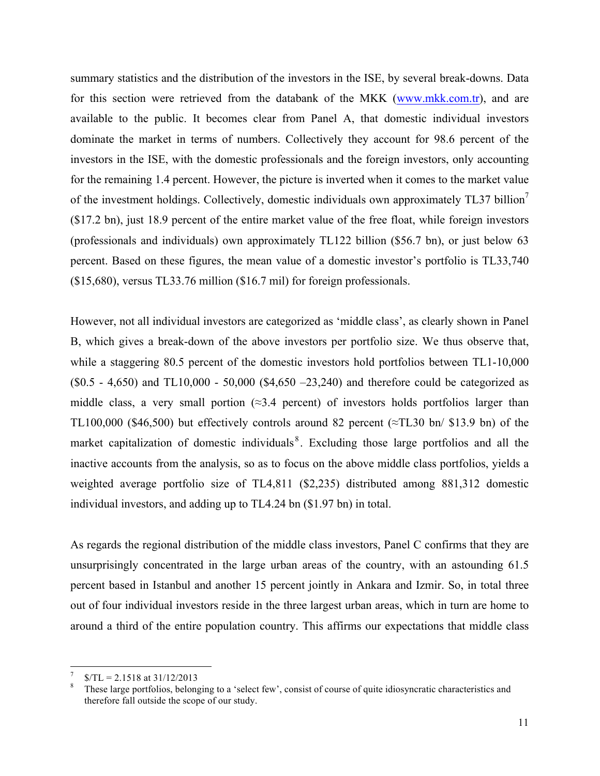summary statistics and the distribution of the investors in the ISE, by several break-downs. Data for this section were retrieved from the databank of the MKK (www.mkk.com.tr), and are available to the public. It becomes clear from Panel A, that domestic individual investors dominate the market in terms of numbers. Collectively they account for 98.6 percent of the investors in the ISE, with the domestic professionals and the foreign investors, only accounting for the remaining 1.4 percent. However, the picture is inverted when it comes to the market value of the investment holdings. Collectively, domestic individuals own approximately TL37 billion<sup>7</sup> (\$17.2 bn), just 18.9 percent of the entire market value of the free float, while foreign investors (professionals and individuals) own approximately TL122 billion (\$56.7 bn), or just below 63 percent. Based on these figures, the mean value of a domestic investor's portfolio is TL33,740 (\$15,680), versus TL33.76 million (\$16.7 mil) for foreign professionals.

However, not all individual investors are categorized as 'middle class', as clearly shown in Panel B, which gives a break-down of the above investors per portfolio size. We thus observe that, while a staggering 80.5 percent of the domestic investors hold portfolios between TL1-10,000  $(0.5 - 4.650)$  and TL10,000 - 50,000  $(0.4.650 - 23.240)$  and therefore could be categorized as middle class, a very small portion ( $\approx$ 3.4 percent) of investors holds portfolios larger than TL100,000 (\$46,500) but effectively controls around 82 percent ( $\approx$ TL30 bn/ \$13.9 bn) of the market capitalization of domestic individuals<sup>8</sup>. Excluding those large portfolios and all the inactive accounts from the analysis, so as to focus on the above middle class portfolios, yields a weighted average portfolio size of TL4,811 (\$2,235) distributed among 881,312 domestic individual investors, and adding up to TL4.24 bn (\$1.97 bn) in total.

As regards the regional distribution of the middle class investors, Panel C confirms that they are unsurprisingly concentrated in the large urban areas of the country, with an astounding 61.5 percent based in Istanbul and another 15 percent jointly in Ankara and Izmir. So, in total three out of four individual investors reside in the three largest urban areas, which in turn are home to around a third of the entire population country. This affirms our expectations that middle class

 $Y/L = 2.1518$  at 31/12/2013<br>These large portfolios, belonging to a 'select few', consist of course of quite idiosyncratic characteristics and therefore fall outside the scope of our study.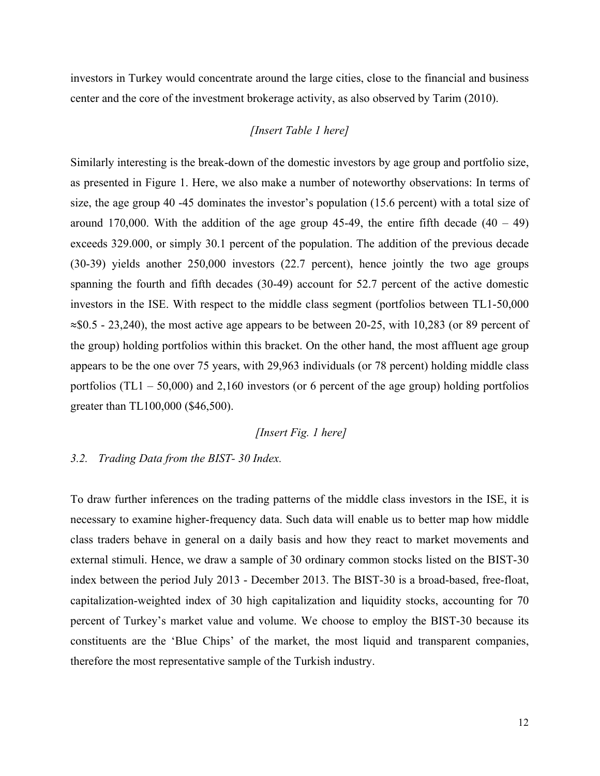investors in Turkey would concentrate around the large cities, close to the financial and business center and the core of the investment brokerage activity, as also observed by Tarim (2010).

#### *[Insert Table 1 here]*

Similarly interesting is the break-down of the domestic investors by age group and portfolio size, as presented in Figure 1. Here, we also make a number of noteworthy observations: In terms of size, the age group 40 -45 dominates the investor's population (15.6 percent) with a total size of around 170,000. With the addition of the age group 45-49, the entire fifth decade  $(40 - 49)$ exceeds 329.000, or simply 30.1 percent of the population. The addition of the previous decade (30-39) yields another 250,000 investors (22.7 percent), hence jointly the two age groups spanning the fourth and fifth decades (30-49) account for 52.7 percent of the active domestic investors in the ISE. With respect to the middle class segment (portfolios between TL1-50,000  $\approx$ \$0.5 - 23,240), the most active age appears to be between 20-25, with 10,283 (or 89 percent of the group) holding portfolios within this bracket. On the other hand, the most affluent age group appears to be the one over 75 years, with 29,963 individuals (or 78 percent) holding middle class portfolios (TL1 – 50,000) and 2,160 investors (or 6 percent of the age group) holding portfolios greater than TL100,000 (\$46,500).

#### *[Insert Fig. 1 here]*

#### *3.2. Trading Data from the BIST- 30 Index.*

To draw further inferences on the trading patterns of the middle class investors in the ISE, it is necessary to examine higher-frequency data. Such data will enable us to better map how middle class traders behave in general on a daily basis and how they react to market movements and external stimuli. Hence, we draw a sample of 30 ordinary common stocks listed on the BIST-30 index between the period July 2013 - December 2013. The BIST-30 is a broad-based, free-float, capitalization-weighted index of 30 high capitalization and liquidity stocks, accounting for 70 percent of Turkey's market value and volume. We choose to employ the BIST-30 because its constituents are the 'Blue Chips' of the market, the most liquid and transparent companies, therefore the most representative sample of the Turkish industry.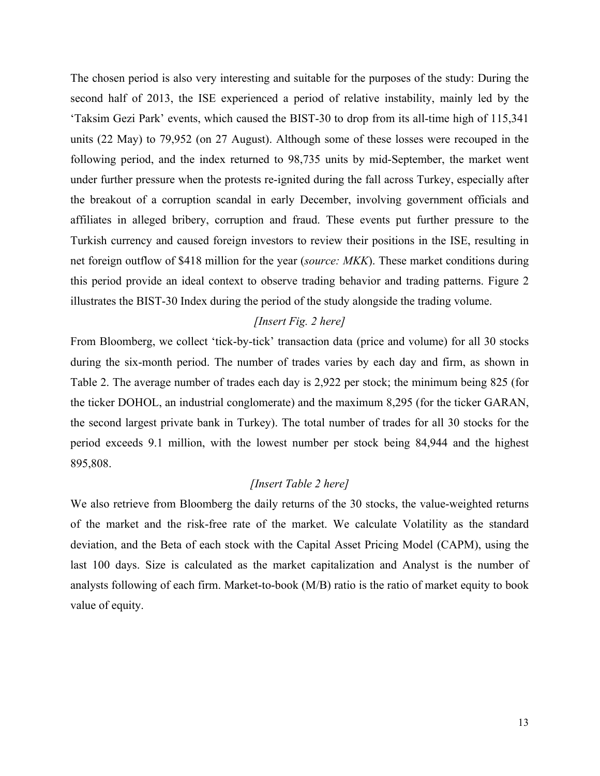The chosen period is also very interesting and suitable for the purposes of the study: During the second half of 2013, the ISE experienced a period of relative instability, mainly led by the 'Taksim Gezi Park' events, which caused the BIST-30 to drop from its all-time high of 115,341 units (22 May) to 79,952 (on 27 August). Although some of these losses were recouped in the following period, and the index returned to 98,735 units by mid-September, the market went under further pressure when the protests re-ignited during the fall across Turkey, especially after the breakout of a corruption scandal in early December, involving government officials and affiliates in alleged bribery, corruption and fraud. These events put further pressure to the Turkish currency and caused foreign investors to review their positions in the ISE, resulting in net foreign outflow of \$418 million for the year (*source: MKK*). These market conditions during this period provide an ideal context to observe trading behavior and trading patterns. Figure 2 illustrates the BIST-30 Index during the period of the study alongside the trading volume.

#### *[Insert Fig. 2 here]*

From Bloomberg, we collect 'tick-by-tick' transaction data (price and volume) for all 30 stocks during the six-month period. The number of trades varies by each day and firm, as shown in Table 2. The average number of trades each day is 2,922 per stock; the minimum being 825 (for the ticker DOHOL, an industrial conglomerate) and the maximum 8,295 (for the ticker GARAN, the second largest private bank in Turkey). The total number of trades for all 30 stocks for the period exceeds 9.1 million, with the lowest number per stock being 84,944 and the highest 895,808.

#### *[Insert Table 2 here]*

We also retrieve from Bloomberg the daily returns of the 30 stocks, the value-weighted returns of the market and the risk-free rate of the market. We calculate Volatility as the standard deviation, and the Beta of each stock with the Capital Asset Pricing Model (CAPM), using the last 100 days. Size is calculated as the market capitalization and Analyst is the number of analysts following of each firm. Market-to-book (M/B) ratio is the ratio of market equity to book value of equity.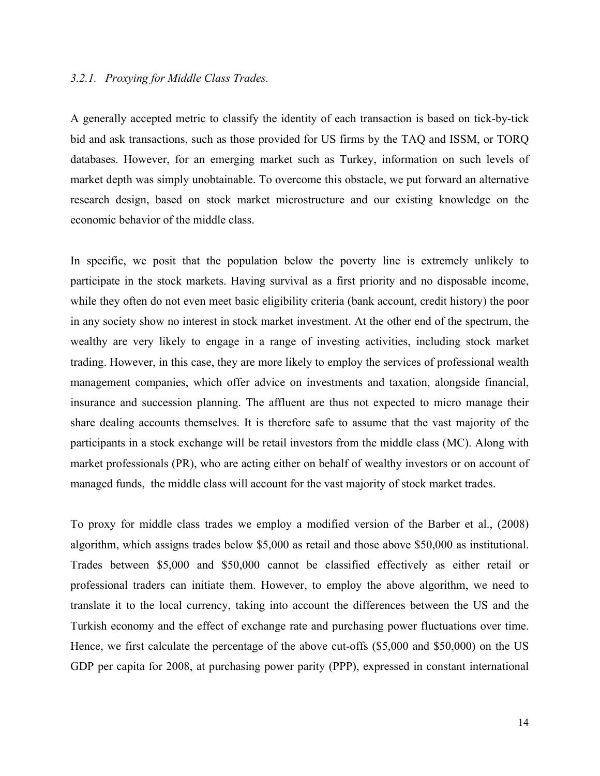#### *3.2.1. Proxying for Middle Class Trades.*

A generally accepted metric to classify the identity of each transaction is based on tick-by-tick bid and ask transactions, such as those provided for US firms by the TAQ and ISSM, or TORQ databases. However, for an emerging market such as Turkey, information on such levels of market depth was simply unobtainable. To overcome this obstacle, we put forward an alternative research design, based on stock market microstructure and our existing knowledge on the economic behavior of the middle class.

In specific, we posit that the population below the poverty line is extremely unlikely to participate in the stock markets. Having survival as a first priority and no disposable income, while they often do not even meet basic eligibility criteria (bank account, credit history) the poor in any society show no interest in stock market investment. At the other end of the spectrum, the wealthy are very likely to engage in a range of investing activities, including stock market trading. However, in this case, they are more likely to employ the services of professional wealth management companies, which offer advice on investments and taxation, alongside financial, insurance and succession planning. The affluent are thus not expected to micro manage their share dealing accounts themselves. It is therefore safe to assume that the vast majority of the participants in a stock exchange will be retail investors from the middle class (MC). Along with market professionals (PR), who are acting either on behalf of wealthy investors or on account of managed funds, the middle class will account for the vast majority of stock market trades.

To proxy for middle class trades we employ a modified version of the Barber et al., (2008) algorithm, which assigns trades below \$5,000 as retail and those above \$50,000 as institutional. Trades between \$5,000 and \$50,000 cannot be classified effectively as either retail or professional traders can initiate them. However, to employ the above algorithm, we need to translate it to the local currency, taking into account the differences between the US and the Turkish economy and the effect of exchange rate and purchasing power fluctuations over time. Hence, we first calculate the percentage of the above cut-offs (\$5,000 and \$50,000) on the US GDP per capita for 2008, at purchasing power parity (PPP), expressed in constant international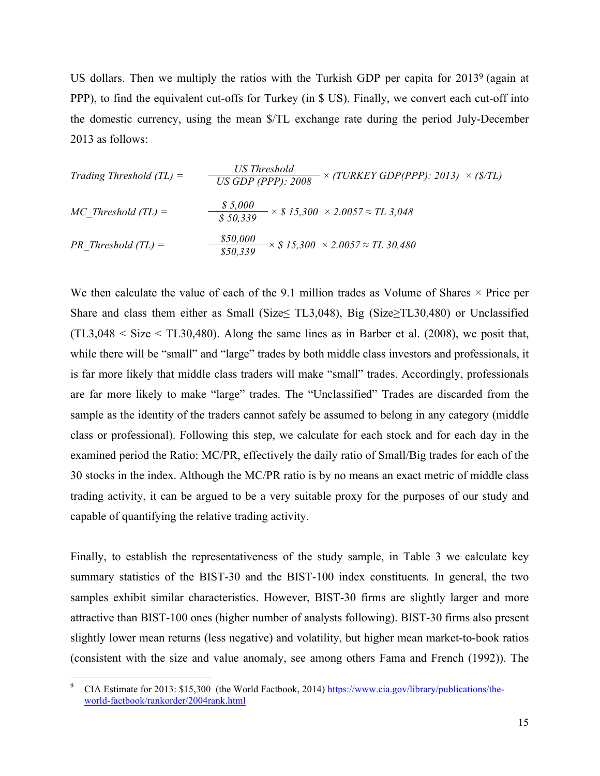US dollars. Then we multiply the ratios with the Turkish GDP per capita for 2013<sup>9</sup> (again at PPP), to find the equivalent cut-offs for Turkey (in \$ US). Finally, we convert each cut-off into the domestic currency, using the mean \$/TL exchange rate during the period July-December 2013 as follows:

Trading Threshold (TL) =

\n
$$
\frac{US Threshold}{US GDP (PPP): 2008} \times (TURKEY GDP (PPP): 2013) \times (S/TL)
$$
\nMC\_Threshold (TL) =

\n
$$
\frac{\$ 5,000}{\$ 50,339} \times \$ 15,300 \times 2.0057 \approx TL 3,048
$$
\nPR\_Threshold (TL) =

\n
$$
\frac{\$ 50,000}{\$ 50,339} \times \$ 15,300 \times 2.0057 \approx TL 30,480
$$

We then calculate the value of each of the 9.1 million trades as Volume of Shares  $\times$  Price per Share and class them either as Small (Size $\leq$  TL3,048), Big (Size $\geq$ TL30,480) or Unclassified  $(TL3,048 \leq Size \leq TL30,480)$ . Along the same lines as in Barber et al. (2008), we posit that, while there will be "small" and "large" trades by both middle class investors and professionals, it is far more likely that middle class traders will make "small" trades. Accordingly, professionals are far more likely to make "large" trades. The "Unclassified" Trades are discarded from the sample as the identity of the traders cannot safely be assumed to belong in any category (middle class or professional). Following this step, we calculate for each stock and for each day in the examined period the Ratio: MC/PR, effectively the daily ratio of Small/Big trades for each of the 30 stocks in the index. Although the MC/PR ratio is by no means an exact metric of middle class trading activity, it can be argued to be a very suitable proxy for the purposes of our study and capable of quantifying the relative trading activity.

Finally, to establish the representativeness of the study sample, in Table 3 we calculate key summary statistics of the BIST-30 and the BIST-100 index constituents. In general, the two samples exhibit similar characteristics. However, BIST-30 firms are slightly larger and more attractive than BIST-100 ones (higher number of analysts following). BIST-30 firms also present slightly lower mean returns (less negative) and volatility, but higher mean market-to-book ratios (consistent with the size and value anomaly, see among others Fama and French (1992)). The

 <sup>9</sup> CIA Estimate for 2013: \$15,300 (the World Factbook, 2014) https://www.cia.gov/library/publications/theworld-factbook/rankorder/2004rank.html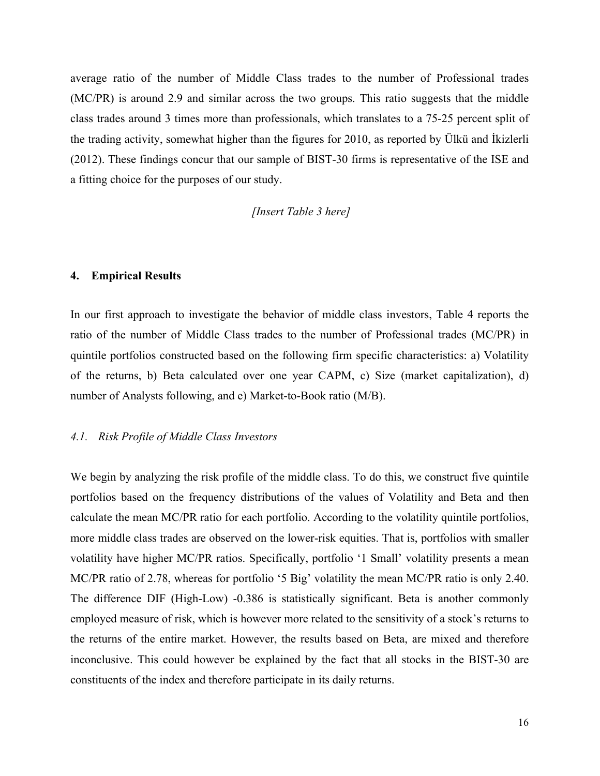average ratio of the number of Middle Class trades to the number of Professional trades (MC/PR) is around 2.9 and similar across the two groups. This ratio suggests that the middle class trades around 3 times more than professionals, which translates to a 75-25 percent split of the trading activity, somewhat higher than the figures for 2010, as reported by Ülkü and İkizlerli (2012). These findings concur that our sample of BIST-30 firms is representative of the ISE and a fitting choice for the purposes of our study.

#### *[Insert Table 3 here]*

#### **4. Empirical Results**

In our first approach to investigate the behavior of middle class investors, Table 4 reports the ratio of the number of Middle Class trades to the number of Professional trades (MC/PR) in quintile portfolios constructed based on the following firm specific characteristics: a) Volatility of the returns, b) Beta calculated over one year CAPM, c) Size (market capitalization), d) number of Analysts following, and e) Market-to-Book ratio (M/B).

#### *4.1. Risk Profile of Middle Class Investors*

We begin by analyzing the risk profile of the middle class. To do this, we construct five quintile portfolios based on the frequency distributions of the values of Volatility and Beta and then calculate the mean MC/PR ratio for each portfolio. According to the volatility quintile portfolios, more middle class trades are observed on the lower-risk equities. That is, portfolios with smaller volatility have higher MC/PR ratios. Specifically, portfolio '1 Small' volatility presents a mean MC/PR ratio of 2.78, whereas for portfolio '5 Big' volatility the mean MC/PR ratio is only 2.40. The difference DIF (High-Low) -0.386 is statistically significant. Beta is another commonly employed measure of risk, which is however more related to the sensitivity of a stock's returns to the returns of the entire market. However, the results based on Beta, are mixed and therefore inconclusive. This could however be explained by the fact that all stocks in the BIST-30 are constituents of the index and therefore participate in its daily returns.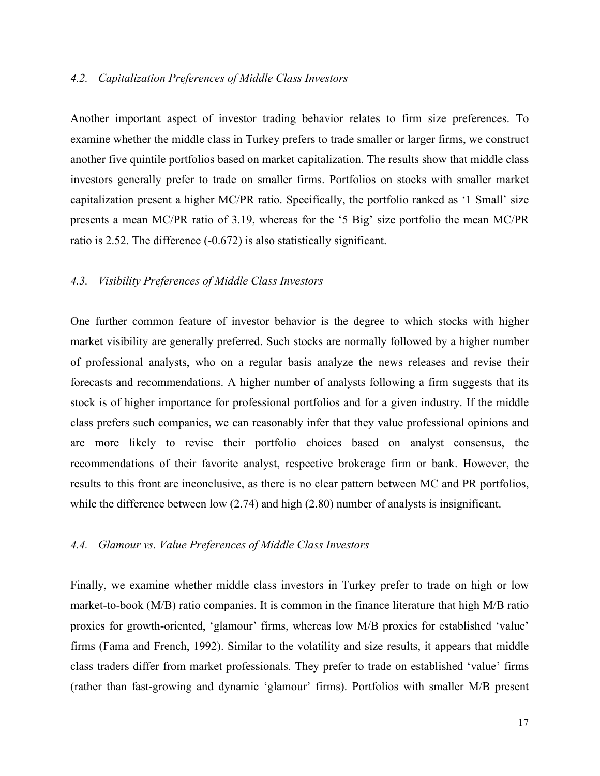#### *4.2. Capitalization Preferences of Middle Class Investors*

Another important aspect of investor trading behavior relates to firm size preferences. To examine whether the middle class in Turkey prefers to trade smaller or larger firms, we construct another five quintile portfolios based on market capitalization. The results show that middle class investors generally prefer to trade on smaller firms. Portfolios on stocks with smaller market capitalization present a higher MC/PR ratio. Specifically, the portfolio ranked as '1 Small' size presents a mean MC/PR ratio of 3.19, whereas for the '5 Big' size portfolio the mean MC/PR ratio is 2.52. The difference (-0.672) is also statistically significant.

#### *4.3. Visibility Preferences of Middle Class Investors*

One further common feature of investor behavior is the degree to which stocks with higher market visibility are generally preferred. Such stocks are normally followed by a higher number of professional analysts, who on a regular basis analyze the news releases and revise their forecasts and recommendations. A higher number of analysts following a firm suggests that its stock is of higher importance for professional portfolios and for a given industry. If the middle class prefers such companies, we can reasonably infer that they value professional opinions and are more likely to revise their portfolio choices based on analyst consensus, the recommendations of their favorite analyst, respective brokerage firm or bank. However, the results to this front are inconclusive, as there is no clear pattern between MC and PR portfolios, while the difference between low  $(2.74)$  and high  $(2.80)$  number of analysts is insignificant.

#### *4.4. Glamour vs. Value Preferences of Middle Class Investors*

Finally, we examine whether middle class investors in Turkey prefer to trade on high or low market-to-book (M/B) ratio companies. It is common in the finance literature that high M/B ratio proxies for growth-oriented, 'glamour' firms, whereas low M/B proxies for established 'value' firms (Fama and French, 1992). Similar to the volatility and size results, it appears that middle class traders differ from market professionals. They prefer to trade on established 'value' firms (rather than fast-growing and dynamic 'glamour' firms). Portfolios with smaller M/B present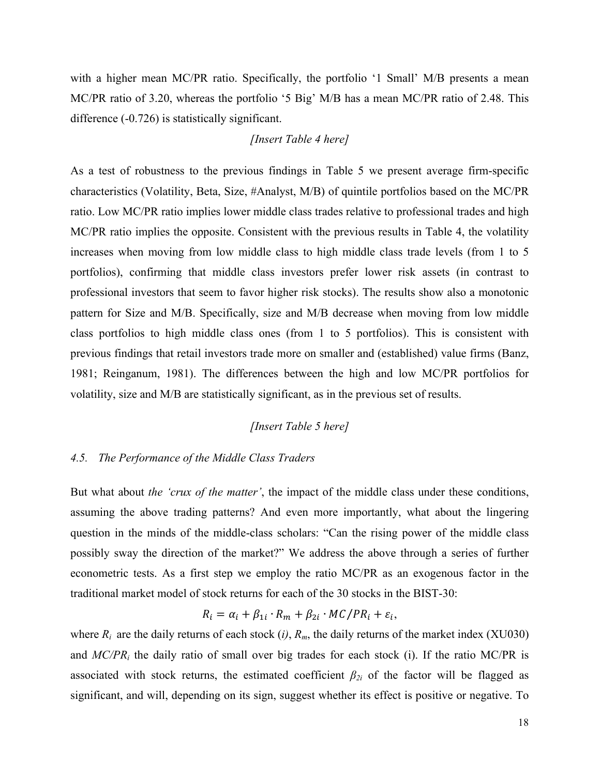with a higher mean MC/PR ratio. Specifically, the portfolio '1 Small' M/B presents a mean MC/PR ratio of 3.20, whereas the portfolio '5 Big' M/B has a mean MC/PR ratio of 2.48. This difference (-0.726) is statistically significant.

#### *[Insert Table 4 here]*

As a test of robustness to the previous findings in Table 5 we present average firm-specific characteristics (Volatility, Beta, Size, #Analyst, M/B) of quintile portfolios based on the MC/PR ratio. Low MC/PR ratio implies lower middle class trades relative to professional trades and high MC/PR ratio implies the opposite. Consistent with the previous results in Table 4, the volatility increases when moving from low middle class to high middle class trade levels (from 1 to 5 portfolios), confirming that middle class investors prefer lower risk assets (in contrast to professional investors that seem to favor higher risk stocks). The results show also a monotonic pattern for Size and M/B. Specifically, size and M/B decrease when moving from low middle class portfolios to high middle class ones (from 1 to 5 portfolios). This is consistent with previous findings that retail investors trade more on smaller and (established) value firms (Banz, 1981; Reinganum, 1981). The differences between the high and low MC/PR portfolios for volatility, size and M/B are statistically significant, as in the previous set of results.

#### *[Insert Table 5 here]*

#### *4.5. The Performance of the Middle Class Traders*

But what about *the 'crux of the matter'*, the impact of the middle class under these conditions, assuming the above trading patterns? And even more importantly, what about the lingering question in the minds of the middle-class scholars: "Can the rising power of the middle class possibly sway the direction of the market?" We address the above through a series of further econometric tests. As a first step we employ the ratio MC/PR as an exogenous factor in the traditional market model of stock returns for each of the 30 stocks in the BIST-30:

$$
R_i = \alpha_i + \beta_{1i} \cdot R_m + \beta_{2i} \cdot MC/PR_i + \varepsilon_i,
$$

where  $R_i$  are the daily returns of each stock (*i*),  $R_m$ , the daily returns of the market index (XU030) and  $MC/PR_i$  the daily ratio of small over big trades for each stock (i). If the ratio MC/PR is associated with stock returns, the estimated coefficient  $\beta_{2i}$  of the factor will be flagged as significant, and will, depending on its sign, suggest whether its effect is positive or negative. To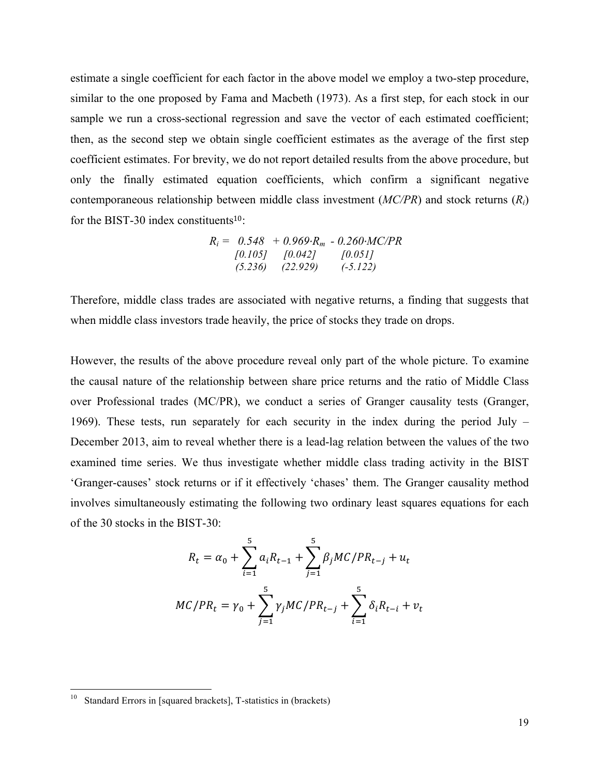estimate a single coefficient for each factor in the above model we employ a two-step procedure, similar to the one proposed by Fama and Macbeth (1973). As a first step, for each stock in our sample we run a cross-sectional regression and save the vector of each estimated coefficient; then, as the second step we obtain single coefficient estimates as the average of the first step coefficient estimates. For brevity, we do not report detailed results from the above procedure, but only the finally estimated equation coefficients, which confirm a significant negative contemporaneous relationship between middle class investment (*MC/PR*) and stock returns (*Ri*) for the BIST-30 index constituents<sup>10</sup>:

$$
R_i = 0.548 + 0.969 \cdot R_m - 0.260 \cdot MC/PR
$$
  
\n
$$
\begin{bmatrix} 0.105 \end{bmatrix} \quad \begin{bmatrix} 0.042 \end{bmatrix} \quad \begin{bmatrix} 0.051 \end{bmatrix}
$$
  
\n
$$
\begin{bmatrix} 0.236 \end{bmatrix} \quad \begin{bmatrix} 22.929 \end{bmatrix} \quad \begin{bmatrix} -5.122 \end{bmatrix}
$$

Therefore, middle class trades are associated with negative returns, a finding that suggests that when middle class investors trade heavily, the price of stocks they trade on drops.

However, the results of the above procedure reveal only part of the whole picture. To examine the causal nature of the relationship between share price returns and the ratio of Middle Class over Professional trades (MC/PR), we conduct a series of Granger causality tests (Granger, 1969). These tests, run separately for each security in the index during the period July – December 2013, aim to reveal whether there is a lead-lag relation between the values of the two examined time series. We thus investigate whether middle class trading activity in the BIST 'Granger-causes' stock returns or if it effectively 'chases' them. The Granger causality method involves simultaneously estimating the following two ordinary least squares equations for each of the 30 stocks in the BIST-30:

$$
R_{t} = \alpha_{0} + \sum_{i=1}^{5} a_{i}R_{t-1} + \sum_{j=1}^{5} \beta_{j}MC/PR_{t-j} + u_{t}
$$
  
MC/PR<sub>t</sub> =  $\gamma_{0} + \sum_{j=1}^{5} \gamma_{j}MC/PR_{t-j} + \sum_{i=1}^{5} \delta_{i}R_{t-i} + v_{t}$ 

Standard Errors in [squared brackets], T-statistics in (brackets)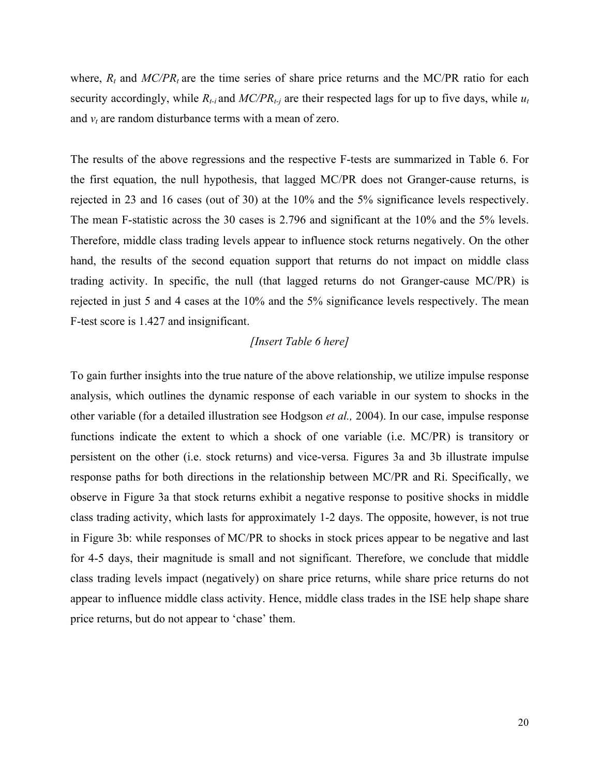where,  $R_t$  and  $MC/PR_t$  are the time series of share price returns and the MC/PR ratio for each security accordingly, while  $R_{t-i}$  and  $MC/PR_{t-i}$  are their respected lags for up to five days, while  $u_t$ and  $v_t$  are random disturbance terms with a mean of zero.

The results of the above regressions and the respective F-tests are summarized in Table 6. For the first equation, the null hypothesis, that lagged MC/PR does not Granger-cause returns, is rejected in 23 and 16 cases (out of 30) at the 10% and the 5% significance levels respectively. The mean F-statistic across the 30 cases is 2.796 and significant at the 10% and the 5% levels. Therefore, middle class trading levels appear to influence stock returns negatively. On the other hand, the results of the second equation support that returns do not impact on middle class trading activity. In specific, the null (that lagged returns do not Granger-cause MC/PR) is rejected in just 5 and 4 cases at the 10% and the 5% significance levels respectively. The mean F-test score is 1.427 and insignificant.

#### *[Insert Table 6 here]*

To gain further insights into the true nature of the above relationship, we utilize impulse response analysis, which outlines the dynamic response of each variable in our system to shocks in the other variable (for a detailed illustration see Hodgson *et al.,* 2004). In our case, impulse response functions indicate the extent to which a shock of one variable (i.e. MC/PR) is transitory or persistent on the other (i.e. stock returns) and vice-versa. Figures 3a and 3b illustrate impulse response paths for both directions in the relationship between MC/PR and Ri. Specifically, we observe in Figure 3a that stock returns exhibit a negative response to positive shocks in middle class trading activity, which lasts for approximately 1-2 days. The opposite, however, is not true in Figure 3b: while responses of MC/PR to shocks in stock prices appear to be negative and last for 4-5 days, their magnitude is small and not significant. Therefore, we conclude that middle class trading levels impact (negatively) on share price returns, while share price returns do not appear to influence middle class activity. Hence, middle class trades in the ISE help shape share price returns, but do not appear to 'chase' them.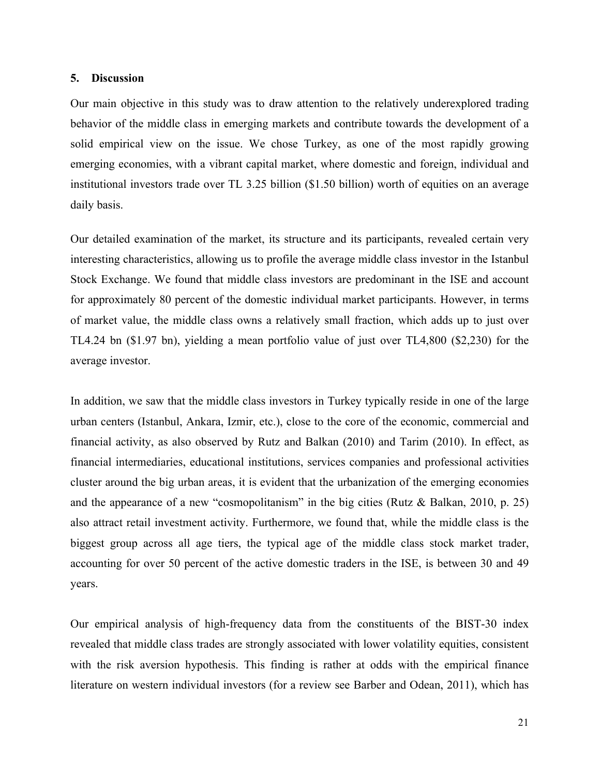#### **5. Discussion**

Our main objective in this study was to draw attention to the relatively underexplored trading behavior of the middle class in emerging markets and contribute towards the development of a solid empirical view on the issue. We chose Turkey, as one of the most rapidly growing emerging economies, with a vibrant capital market, where domestic and foreign, individual and institutional investors trade over TL 3.25 billion (\$1.50 billion) worth of equities on an average daily basis.

Our detailed examination of the market, its structure and its participants, revealed certain very interesting characteristics, allowing us to profile the average middle class investor in the Istanbul Stock Exchange. We found that middle class investors are predominant in the ISE and account for approximately 80 percent of the domestic individual market participants. However, in terms of market value, the middle class owns a relatively small fraction, which adds up to just over TL4.24 bn (\$1.97 bn), yielding a mean portfolio value of just over TL4,800 (\$2,230) for the average investor.

In addition, we saw that the middle class investors in Turkey typically reside in one of the large urban centers (Istanbul, Ankara, Izmir, etc.), close to the core of the economic, commercial and financial activity, as also observed by Rutz and Balkan (2010) and Tarim (2010). In effect, as financial intermediaries, educational institutions, services companies and professional activities cluster around the big urban areas, it is evident that the urbanization of the emerging economies and the appearance of a new "cosmopolitanism" in the big cities (Rutz & Balkan, 2010, p. 25) also attract retail investment activity. Furthermore, we found that, while the middle class is the biggest group across all age tiers, the typical age of the middle class stock market trader, accounting for over 50 percent of the active domestic traders in the ISE, is between 30 and 49 years.

Our empirical analysis of high-frequency data from the constituents of the BIST-30 index revealed that middle class trades are strongly associated with lower volatility equities, consistent with the risk aversion hypothesis. This finding is rather at odds with the empirical finance literature on western individual investors (for a review see Barber and Odean, 2011), which has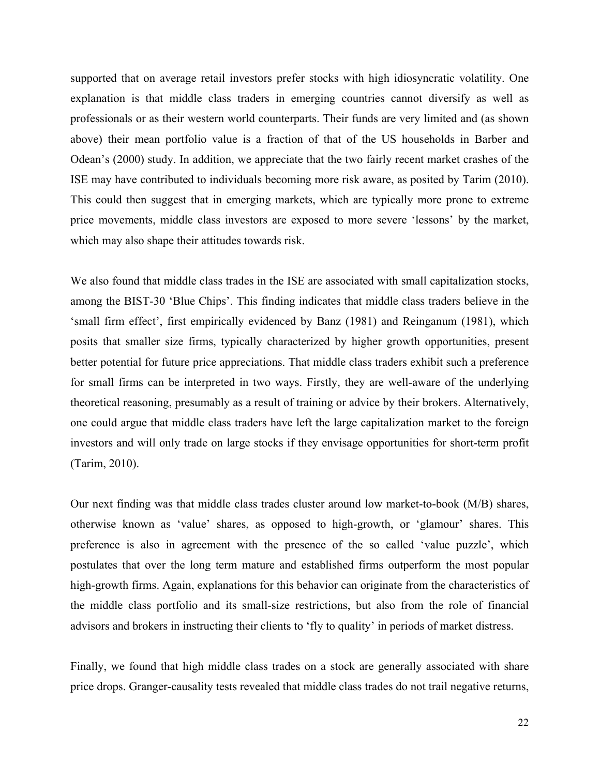supported that on average retail investors prefer stocks with high idiosyncratic volatility. One explanation is that middle class traders in emerging countries cannot diversify as well as professionals or as their western world counterparts. Their funds are very limited and (as shown above) their mean portfolio value is a fraction of that of the US households in Barber and Odean's (2000) study. In addition, we appreciate that the two fairly recent market crashes of the ISE may have contributed to individuals becoming more risk aware, as posited by Tarim (2010). This could then suggest that in emerging markets, which are typically more prone to extreme price movements, middle class investors are exposed to more severe 'lessons' by the market, which may also shape their attitudes towards risk.

We also found that middle class trades in the ISE are associated with small capitalization stocks, among the BIST-30 'Blue Chips'. This finding indicates that middle class traders believe in the 'small firm effect', first empirically evidenced by Banz (1981) and Reinganum (1981), which posits that smaller size firms, typically characterized by higher growth opportunities, present better potential for future price appreciations. That middle class traders exhibit such a preference for small firms can be interpreted in two ways. Firstly, they are well-aware of the underlying theoretical reasoning, presumably as a result of training or advice by their brokers. Alternatively, one could argue that middle class traders have left the large capitalization market to the foreign investors and will only trade on large stocks if they envisage opportunities for short-term profit (Tarim, 2010).

Our next finding was that middle class trades cluster around low market-to-book (M/B) shares, otherwise known as 'value' shares, as opposed to high-growth, or 'glamour' shares. This preference is also in agreement with the presence of the so called 'value puzzle', which postulates that over the long term mature and established firms outperform the most popular high-growth firms. Again, explanations for this behavior can originate from the characteristics of the middle class portfolio and its small-size restrictions, but also from the role of financial advisors and brokers in instructing their clients to 'fly to quality' in periods of market distress.

Finally, we found that high middle class trades on a stock are generally associated with share price drops. Granger-causality tests revealed that middle class trades do not trail negative returns,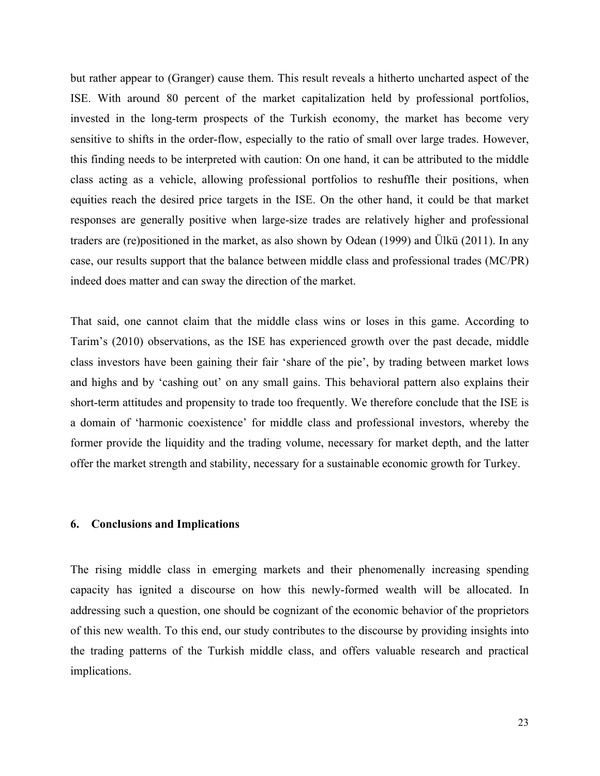but rather appear to (Granger) cause them. This result reveals a hitherto uncharted aspect of the ISE. With around 80 percent of the market capitalization held by professional portfolios, invested in the long-term prospects of the Turkish economy, the market has become very sensitive to shifts in the order-flow, especially to the ratio of small over large trades. However, this finding needs to be interpreted with caution: On one hand, it can be attributed to the middle class acting as a vehicle, allowing professional portfolios to reshuffle their positions, when equities reach the desired price targets in the ISE. On the other hand, it could be that market responses are generally positive when large-size trades are relatively higher and professional traders are (re)positioned in the market, as also shown by Odean (1999) and Ülkü (2011). In any case, our results support that the balance between middle class and professional trades (MC/PR) indeed does matter and can sway the direction of the market.

That said, one cannot claim that the middle class wins or loses in this game. According to Tarim's (2010) observations, as the ISE has experienced growth over the past decade, middle class investors have been gaining their fair 'share of the pie', by trading between market lows and highs and by 'cashing out' on any small gains. This behavioral pattern also explains their short-term attitudes and propensity to trade too frequently. We therefore conclude that the ISE is a domain of 'harmonic coexistence' for middle class and professional investors, whereby the former provide the liquidity and the trading volume, necessary for market depth, and the latter offer the market strength and stability, necessary for a sustainable economic growth for Turkey.

#### **6. Conclusions and Implications**

The rising middle class in emerging markets and their phenomenally increasing spending capacity has ignited a discourse on how this newly-formed wealth will be allocated. In addressing such a question, one should be cognizant of the economic behavior of the proprietors of this new wealth. To this end, our study contributes to the discourse by providing insights into the trading patterns of the Turkish middle class, and offers valuable research and practical implications.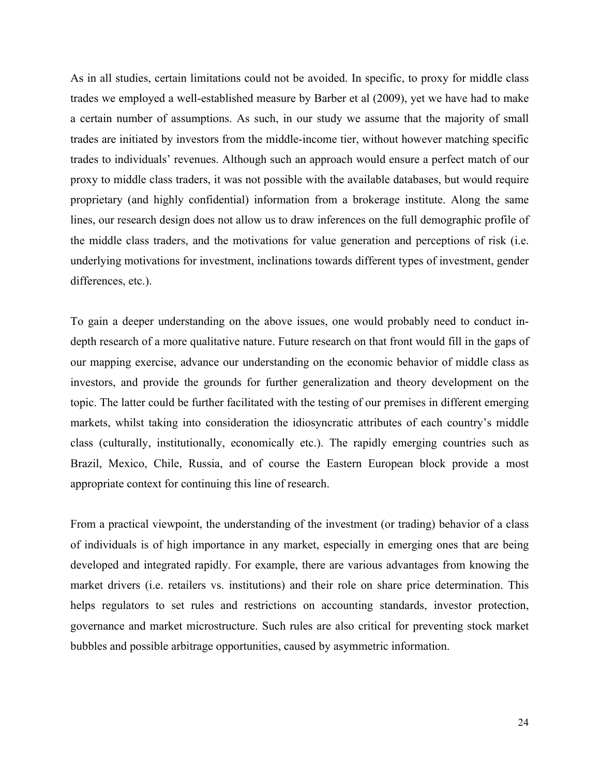As in all studies, certain limitations could not be avoided. In specific, to proxy for middle class trades we employed a well-established measure by Barber et al (2009), yet we have had to make a certain number of assumptions. As such, in our study we assume that the majority of small trades are initiated by investors from the middle-income tier, without however matching specific trades to individuals' revenues. Although such an approach would ensure a perfect match of our proxy to middle class traders, it was not possible with the available databases, but would require proprietary (and highly confidential) information from a brokerage institute. Along the same lines, our research design does not allow us to draw inferences on the full demographic profile of the middle class traders, and the motivations for value generation and perceptions of risk (i.e. underlying motivations for investment, inclinations towards different types of investment, gender differences, etc.).

To gain a deeper understanding on the above issues, one would probably need to conduct indepth research of a more qualitative nature. Future research on that front would fill in the gaps of our mapping exercise, advance our understanding on the economic behavior of middle class as investors, and provide the grounds for further generalization and theory development on the topic. The latter could be further facilitated with the testing of our premises in different emerging markets, whilst taking into consideration the idiosyncratic attributes of each country's middle class (culturally, institutionally, economically etc.). The rapidly emerging countries such as Brazil, Mexico, Chile, Russia, and of course the Eastern European block provide a most appropriate context for continuing this line of research.

From a practical viewpoint, the understanding of the investment (or trading) behavior of a class of individuals is of high importance in any market, especially in emerging ones that are being developed and integrated rapidly. For example, there are various advantages from knowing the market drivers (i.e. retailers vs. institutions) and their role on share price determination. This helps regulators to set rules and restrictions on accounting standards, investor protection, governance and market microstructure. Such rules are also critical for preventing stock market bubbles and possible arbitrage opportunities, caused by asymmetric information.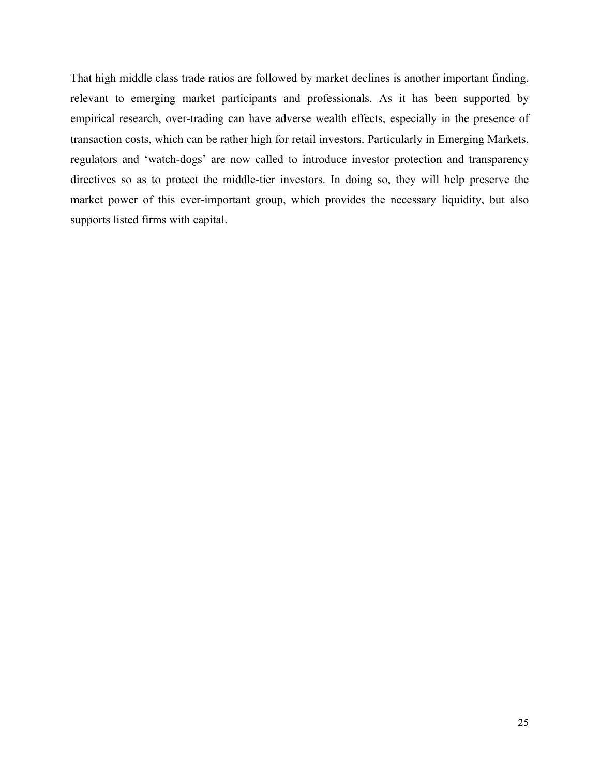That high middle class trade ratios are followed by market declines is another important finding, relevant to emerging market participants and professionals. As it has been supported by empirical research, over-trading can have adverse wealth effects, especially in the presence of transaction costs, which can be rather high for retail investors. Particularly in Emerging Markets, regulators and 'watch-dogs' are now called to introduce investor protection and transparency directives so as to protect the middle-tier investors. In doing so, they will help preserve the market power of this ever-important group, which provides the necessary liquidity, but also supports listed firms with capital.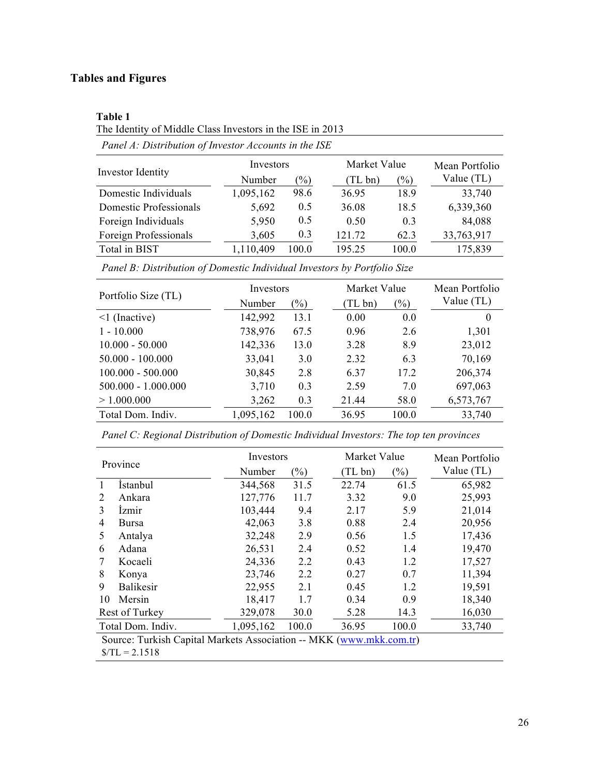# **Tables and Figures**

#### **Table 1**

The Identity of Middle Class Investors in the ISE in 2013<br>Panel 4: Distribution of Investor Accounts in the ISE *Panel A: Distribution of Investor Accounts in the ISE*

| Panel A: Distribution of Investor Accounts in the ISE |  |  |
|-------------------------------------------------------|--|--|
|                                                       |  |  |

| Investor Identity      | Investors |        | Market Value |         |                            | Mean Portfolio |
|------------------------|-----------|--------|--------------|---------|----------------------------|----------------|
|                        | Number    | $(\%)$ |              | (TL bn) | $\left(\frac{0}{0}\right)$ | Value (TL)     |
| Domestic Individuals   | 1,095,162 | 98.6   |              | 36.95   | 189                        | 33,740         |
| Domestic Professionals | 5,692     | 0.5    |              | 36.08   | 18.5                       | 6,339,360      |
| Foreign Individuals    | 5,950     | 0.5    |              | 0.50    | 0 <sup>3</sup>             | 84,088         |
| Foreign Professionals  | 3,605     | 0.3    |              | 121.72  | 62.3                       | 33,763,917     |
| Total in BIST          | 1,110,409 | 100.0  |              | 195.25  | 100.0                      | 175,839        |

*Panel B: Distribution of Domestic Individual Investors by Portfolio Size*

|                       | Investors |        |  | Market Value |        | Mean Portfolio |
|-----------------------|-----------|--------|--|--------------|--------|----------------|
| Portfolio Size (TL)   | Number    | $(\%)$ |  | TL bn)       | $(\%)$ | Value (TL)     |
| $\leq$ 1 (Inactive)   | 142,992   | 13.1   |  | 0.00         | 0.0    | $\theta$       |
| $1 - 10.000$          | 738,976   | 67.5   |  | 0.96         | 2.6    | 1,301          |
| $10.000 - 50.000$     | 142,336   | 13.0   |  | 3.28         | 8.9    | 23,012         |
| $50.000 - 100.000$    | 33,041    | 3.0    |  | 2.32         | 6.3    | 70,169         |
| $100.000 - 500.000$   | 30,845    | 2.8    |  | 6.37         | 17.2   | 206,374        |
| $500.000 - 1.000.000$ | 3,710     | 0.3    |  | 2.59         | 7.0    | 697,063        |
| > 1.000.000           | 3,262     | 0.3    |  | 21.44        | 58.0   | 6,573,767      |
| Total Dom. Indiv.     | 1,095,162 | 100.0  |  | 36.95        | 100.0  | 33,740         |

*Panel C: Regional Distribution of Domestic Individual Investors: The top ten provinces* 

| Province     |                                                                     |           | Investors |  | Market Value |                            | Mean Portfolio |
|--------------|---------------------------------------------------------------------|-----------|-----------|--|--------------|----------------------------|----------------|
|              |                                                                     | Number    | $(\%)$    |  | TL bn)       | $\left(\frac{0}{0}\right)$ | Value (TL)     |
| $\mathbf{1}$ | Istanbul                                                            | 344,568   | 31.5      |  | 22.74        | 61.5                       | 65,982         |
| 2            | Ankara                                                              | 127,776   | 11.7      |  | 3.32         | 9.0                        | 25,993         |
| 3            | Izmir                                                               | 103,444   | 9.4       |  | 2.17         | 5.9                        | 21,014         |
| 4            | Bursa                                                               | 42,063    | 3.8       |  | 0.88         | 2.4                        | 20,956         |
| 5            | Antalya                                                             | 32,248    | 2.9       |  | 0.56         | 1.5                        | 17,436         |
| 6            | Adana                                                               | 26,531    | 2.4       |  | 0.52         | 1.4                        | 19,470         |
| 7            | Kocaeli                                                             | 24,336    | 2.2       |  | 0.43         | 1.2                        | 17,527         |
| 8            | Konya                                                               | 23,746    | 2.2       |  | 0.27         | 0.7                        | 11,394         |
| 9            | <b>Balikesir</b>                                                    | 22,955    | 2.1       |  | 0.45         | 1.2                        | 19,591         |
| 10           | Mersin                                                              | 18,417    | 1.7       |  | 0.34         | 0.9                        | 18,340         |
|              | Rest of Turkey                                                      | 329,078   | 30.0      |  | 5.28         | 14.3                       | 16,030         |
|              | Total Dom. Indiv.                                                   | 1,095,162 | 100.0     |  | 36.95        | 100.0                      | 33,740         |
|              | Source: Turkish Capital Markets Association -- MKK (www.mkk.com.tr) |           |           |  |              |                            |                |
|              | $\text{S/TL} = 2.1518$                                              |           |           |  |              |                            |                |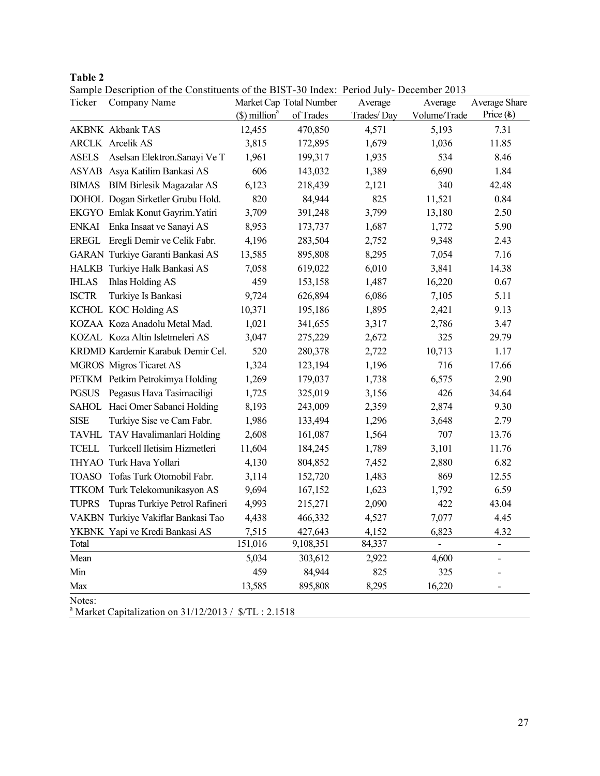| ۱nı<br>п<br>ı |  |
|---------------|--|
|---------------|--|

Sample Description of the Constituents of the BIST-30 Index: Period July- December 2013

| Ticker       | Company Name                       |                                    | Market Cap Total Number | Average    | Average      | Average Share                |
|--------------|------------------------------------|------------------------------------|-------------------------|------------|--------------|------------------------------|
|              |                                    | $(\text{\$})$ million <sup>a</sup> | of Trades               | Trades/Day | Volume/Trade | Price $(\epsilon)$           |
|              | <b>AKBNK Akbank TAS</b>            | 12,455                             | 470,850                 | 4,571      | 5,193        | 7.31                         |
|              | <b>ARCLK</b> Arcelik AS            | 3,815                              | 172,895                 | 1,679      | 1,036        | 11.85                        |
| <b>ASELS</b> | Aselsan Elektron.Sanayi Ve T       | 1,961                              | 199,317                 | 1,935      | 534          | 8.46                         |
|              | ASYAB Asya Katilim Bankasi AS      | 606                                | 143,032                 | 1,389      | 6,690        | 1.84                         |
| <b>BIMAS</b> | <b>BIM Birlesik Magazalar AS</b>   | 6,123                              | 218,439                 | 2,121      | 340          | 42.48                        |
|              | DOHOL Dogan Sirketler Grubu Hold.  | 820                                | 84,944                  | 825        | 11,521       | 0.84                         |
|              | EKGYO Emlak Konut Gayrim. Yatiri   | 3,709                              | 391,248                 | 3,799      | 13,180       | 2.50                         |
| <b>ENKAI</b> | Enka Insaat ve Sanayi AS           | 8,953                              | 173,737                 | 1,687      | 1,772        | 5.90                         |
| EREGL        | Eregli Demir ve Celik Fabr.        | 4,196                              | 283,504                 | 2,752      | 9,348        | 2.43                         |
|              | GARAN Turkiye Garanti Bankasi AS   | 13,585                             | 895,808                 | 8,295      | 7,054        | 7.16                         |
|              | HALKB Turkiye Halk Bankasi AS      | 7,058                              | 619,022                 | 6,010      | 3,841        | 14.38                        |
| <b>IHLAS</b> | <b>Ihlas Holding AS</b>            | 459                                | 153,158                 | 1,487      | 16,220       | 0.67                         |
| <b>ISCTR</b> | Turkiye Is Bankasi                 | 9,724                              | 626,894                 | 6,086      | 7,105        | 5.11                         |
|              | KCHOL KOC Holding AS               | 10,371                             | 195,186                 | 1,895      | 2,421        | 9.13                         |
|              | KOZAA Koza Anadolu Metal Mad.      | 1,021                              | 341,655                 | 3,317      | 2,786        | 3.47                         |
|              | KOZAL Koza Altin Isletmeleri AS    | 3,047                              | 275,229                 | 2,672      | 325          | 29.79                        |
|              | KRDMD Kardemir Karabuk Demir Cel.  | 520                                | 280,378                 | 2,722      | 10,713       | 1.17                         |
|              | <b>MGROS</b> Migros Ticaret AS     | 1,324                              | 123,194                 | 1,196      | 716          | 17.66                        |
|              | PETKM Petkim Petrokimya Holding    | 1,269                              | 179,037                 | 1,738      | 6,575        | 2.90                         |
| <b>PGSUS</b> | Pegasus Hava Tasimaciligi          | 1,725                              | 325,019                 | 3,156      | 426          | 34.64                        |
|              | SAHOL Haci Omer Sabanci Holding    | 8,193                              | 243,009                 | 2,359      | 2,874        | 9.30                         |
| <b>SISE</b>  | Turkiye Sise ve Cam Fabr.          | 1,986                              | 133,494                 | 1,296      | 3,648        | 2.79                         |
|              | TAVHL TAV Havalimanlari Holding    | 2,608                              | 161,087                 | 1,564      | 707          | 13.76                        |
| TCELL        | Turkcell Iletisim Hizmetleri       | 11,604                             | 184,245                 | 1,789      | 3,101        | 11.76                        |
|              | THYAO Turk Hava Yollari            | 4,130                              | 804,852                 | 7,452      | 2,880        | 6.82                         |
|              | TOASO Tofas Turk Otomobil Fabr.    | 3,114                              | 152,720                 | 1,483      | 869          | 12.55                        |
|              | TTKOM Turk Telekomunikasyon AS     | 9,694                              | 167,152                 | 1,623      | 1,792        | 6.59                         |
| <b>TUPRS</b> | Tupras Turkiye Petrol Rafineri     | 4,993                              | 215,271                 | 2,090      | 422          | 43.04                        |
|              | VAKBN Turkiye Vakiflar Bankasi Tao | 4,438                              | 466,332                 | 4,527      | 7,077        | 4.45                         |
|              | YKBNK Yapi ve Kredi Bankasi AS     | 7,515                              | 427,643                 | 4,152      | 6,823        | 4.32                         |
| Total        |                                    | 151,016                            | 9,108,351               | 84,337     | -            | $\overline{\phantom{m}}$     |
| Mean         |                                    | 5,034                              | 303,612                 | 2,922      | 4,600        | $\qquad \qquad \blacksquare$ |
| Min          |                                    | 459                                | 84,944                  | 825        | 325          | $\qquad \qquad \blacksquare$ |
| Max          |                                    | 13,585                             | 895,808                 | 8,295      | 16,220       |                              |
| Notes:       |                                    |                                    |                         |            |              |                              |

<sup>a</sup> Market Capitalization on 31/12/2013 / \$/TL : 2.1518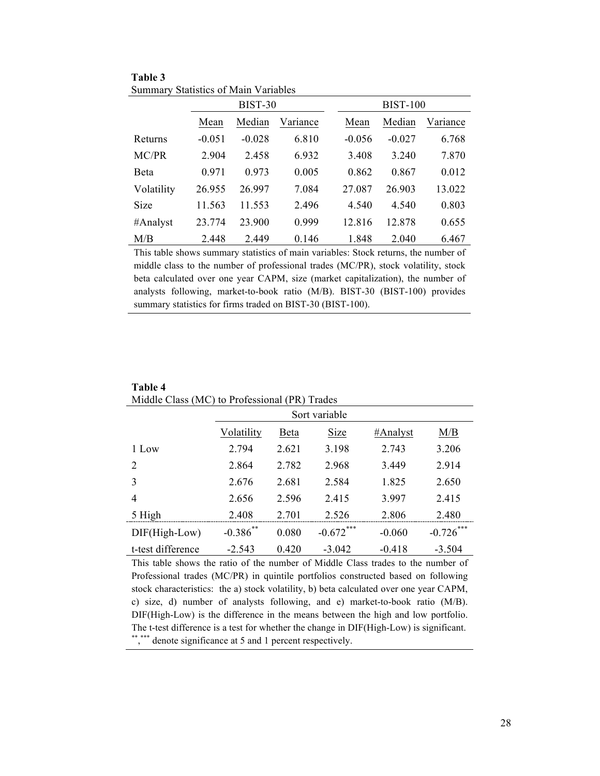| Summary Statistics of Main Variables |          |                |          |          |                 |          |  |  |  |
|--------------------------------------|----------|----------------|----------|----------|-----------------|----------|--|--|--|
|                                      |          | <b>BIST-30</b> |          |          | <b>BIST-100</b> |          |  |  |  |
|                                      | Mean     | Median         | Variance | Mean     | Median          | Variance |  |  |  |
| Returns                              | $-0.051$ | $-0.028$       | 6.810    | $-0.056$ | $-0.027$        | 6.768    |  |  |  |
| MC/PR                                | 2.904    | 2.458          | 6.932    | 3.408    | 3.240           | 7.870    |  |  |  |
| <b>B</b> eta                         | 0.971    | 0.973          | 0.005    | 0.862    | 0.867           | 0.012    |  |  |  |
| Volatility                           | 26.955   | 26.997         | 7.084    | 27.087   | 26.903          | 13.022   |  |  |  |
| <b>Size</b>                          | 11.563   | 11.553         | 2.496    | 4.540    | 4.540           | 0.803    |  |  |  |
| #Analyst                             | 23.774   | 23.900         | 0.999    | 12.816   | 12.878          | 0.655    |  |  |  |
| M/B                                  | 2.448    | 2449           | 0.146    | 1.848    | 2.040           | 6.467    |  |  |  |

This table shows summary statistics of main variables: Stock returns, the number of middle class to the number of professional trades (MC/PR), stock volatility, stock beta calculated over one year CAPM, size (market capitalization), the number of analysts following, market-to-book ratio (M/B). BIST-30 (BIST-100) provides summary statistics for firms traded on BIST-30 (BIST-100).

| Middle Class (MC) to Professional (PR) Trades |                                                      |               |              |          |              |  |  |  |  |
|-----------------------------------------------|------------------------------------------------------|---------------|--------------|----------|--------------|--|--|--|--|
|                                               |                                                      | Sort variable |              |          |              |  |  |  |  |
|                                               | <b>Size</b><br>Volatility<br>#Analyst<br>M/B<br>Beta |               |              |          |              |  |  |  |  |
| 1 Low                                         | 2.794                                                | 2.621         | 3.198        | 2.743    | 3.206        |  |  |  |  |
| $\mathcal{D}_{\mathcal{L}}$                   | 2.864                                                | 2.782         | 2.968        | 3.449    | 2.914        |  |  |  |  |
| 3                                             | 2.676                                                | 2.681         | 2.584        | 1.825    | 2.650        |  |  |  |  |
| 4                                             | 2.656                                                | 2.596         | 2.415        | 3.997    | 2.415        |  |  |  |  |
| 5 High                                        | 2.408                                                | 2.701         | 2.526        | 2.806    | 2.480        |  |  |  |  |
| $DIF(High-Low)$                               | $-0.386$ **                                          | 0.080         | $-0.672$ *** | $-0.060$ | $-0.726$ *** |  |  |  |  |
| t-test difference                             | $-2.543$                                             | 0.420         | $-3.042$     | $-0.418$ | $-3.504$     |  |  |  |  |

**Table 4**

**Table 3**

This table shows the ratio of the number of Middle Class trades to the number of Professional trades (MC/PR) in quintile portfolios constructed based on following stock characteristics: the a) stock volatility, b) beta calculated over one year CAPM, c) size, d) number of analysts following, and e) market-to-book ratio (M/B). DIF(High-Low) is the difference in the means between the high and low portfolio. The t-test difference is a test for whether the change in DIF(High-Low) is significant. \*\*, \*\*\* denote significance at 5 and 1 percent respectively.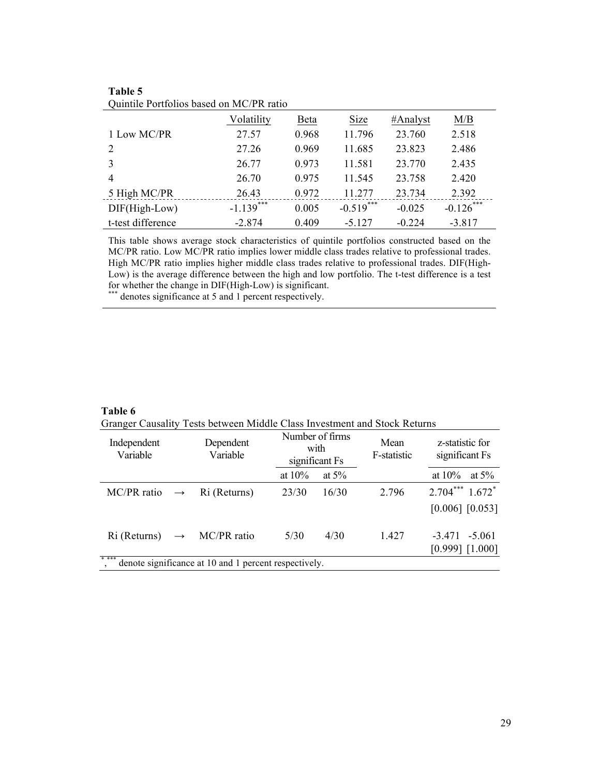| <b>URBER 1 DELIVITOS DASCU UN INIC/I IX TAND</b> |             |       |             |          |             |  |  |
|--------------------------------------------------|-------------|-------|-------------|----------|-------------|--|--|
|                                                  | Volatility  | Beta  | Size        | #Analyst | M/B         |  |  |
| 1 Low MC/PR                                      | 27.57       | 0.968 | 11.796      | 23.760   | 2.518       |  |  |
| 2                                                | 27.26       | 0.969 | 11.685      | 23.823   | 2.486       |  |  |
| 3                                                | 26.77       | 0.973 | 11.581      | 23.770   | 2.435       |  |  |
| 4                                                | 26.70       | 0.975 | 11.545      | 23.758   | 2.420       |  |  |
| 5 High MC/PR                                     | 26.43       | 0.972 | 11.277      | 23.734   | 2.392       |  |  |
| $DIF(High-Low)$                                  | $-1.139***$ | 0.005 | $-0.519***$ | $-0.025$ | $-0.126***$ |  |  |
| t-test difference                                | $-2.874$    | 0.409 | $-5.127$    | $-0.224$ | $-3.817$    |  |  |

**Table 5** Quintile Portfolios based on MC/PR ratio

This table shows average stock characteristics of quintile portfolios constructed based on the MC/PR ratio. Low MC/PR ratio implies lower middle class trades relative to professional trades. High MC/PR ratio implies higher middle class trades relative to professional trades. DIF(High-Low) is the average difference between the high and low portfolio. The t-test difference is a test for whether the change in DIF(High-Low) is significant.<br>\*\*\* denotes significance at 5 and 1 percent respectively.

#### **Table 6**

Granger Causality Tests between Middle Class Investment and Stock Returns

| Independent<br>Variable                                        |               | Dependent<br>Variable |           | Number of firms<br>with<br>significant Fs |       | z-statistic for<br>significant Fs       |  |  |  |
|----------------------------------------------------------------|---------------|-----------------------|-----------|-------------------------------------------|-------|-----------------------------------------|--|--|--|
|                                                                |               |                       | at $10\%$ | at $5\%$                                  |       | at $10\%$<br>at $5\%$                   |  |  |  |
| MC/PR ratio $\rightarrow$                                      |               | Ri (Returns)          | 23/30     | 16/30                                     | 2.796 | $2.704***1.672*$<br>$[0.006]$ $[0.053]$ |  |  |  |
| Ri (Returns)                                                   | $\rightarrow$ | MC/PR ratio           | 5/30      | 4/30                                      | 1.427 | $-3.471 - 5.061$<br>$[0.999]$ $[1.000]$ |  |  |  |
| * ***<br>denote significance at 10 and 1 percent respectively. |               |                       |           |                                           |       |                                         |  |  |  |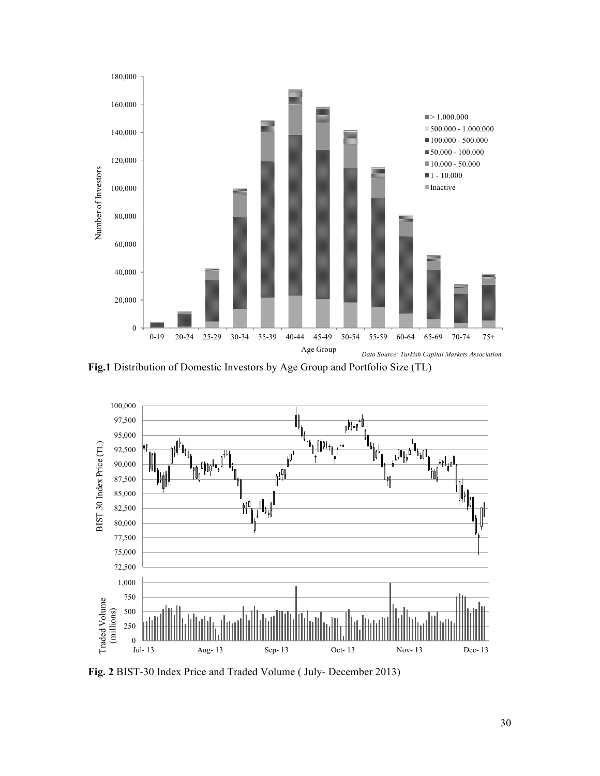

**Fig.1** Distribution of Domestic Investors by Age Group and Portfolio Size (TL)



**Fig. 2** BIST-30 Index Price and Traded Volume ( July- December 2013)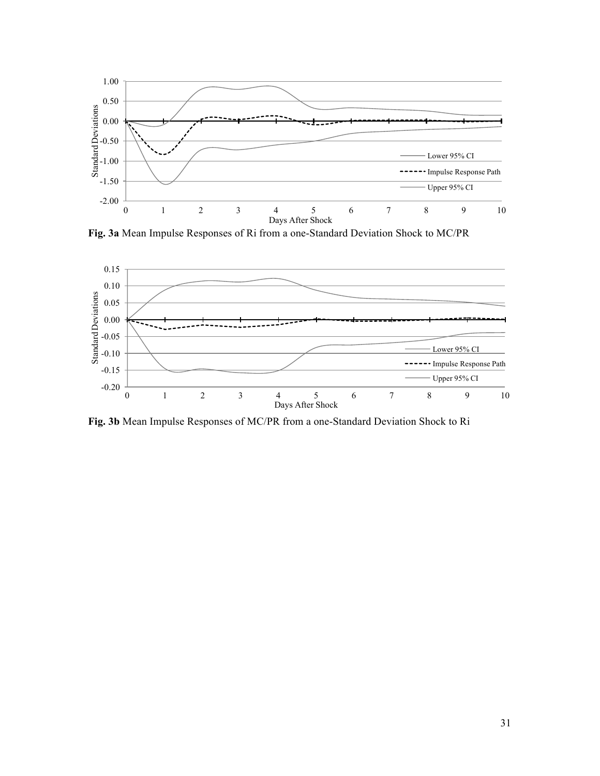

**Fig. 3a** Mean Impulse Responses of Ri from a one-Standard Deviation Shock to MC/PR



**Fig. 3b** Mean Impulse Responses of MC/PR from a one-Standard Deviation Shock to Ri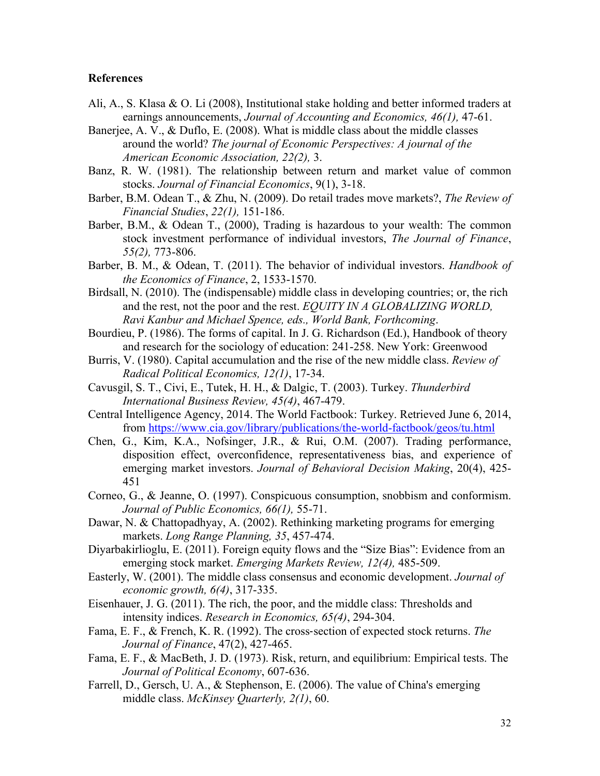#### **References**

- Ali, A., S. Klasa & O. Li (2008), Institutional stake holding and better informed traders at earnings announcements, *Journal of Accounting and Economics, 46(1),* 47-61.
- Banerjee, A. V., & Duflo, E. (2008). What is middle class about the middle classes around the world? *The journal of Economic Perspectives: A journal of the American Economic Association, 22(2),* 3.
- Banz, R. W. (1981). The relationship between return and market value of common stocks. *Journal of Financial Economics*, 9(1), 3-18.
- Barber, B.M. Odean T., & Zhu, N. (2009). Do retail trades move markets?, *The Review of Financial Studies*, *22(1),* 151-186.
- Barber, B.M., & Odean T., (2000), Trading is hazardous to your wealth: The common stock investment performance of individual investors, *The Journal of Finance*, *55(2),* 773-806.
- Barber, B. M., & Odean, T. (2011). The behavior of individual investors. *Handbook of the Economics of Finance*, 2, 1533-1570.
- Birdsall, N. (2010). The (indispensable) middle class in developing countries; or, the rich and the rest, not the poor and the rest. *EQUITY IN A GLOBALIZING WORLD, Ravi Kanbur and Michael Spence, eds., World Bank, Forthcoming*.
- Bourdieu, P. (1986). The forms of capital. In J. G. Richardson (Ed.), Handbook of theory and research for the sociology of education: 241-258. New York: Greenwood
- Burris, V. (1980). Capital accumulation and the rise of the new middle class. *Review of Radical Political Economics, 12(1)*, 17-34.
- Cavusgil, S. T., Civi, E., Tutek, H. H., & Dalgic, T. (2003). Turkey. *Thunderbird International Business Review, 45(4)*, 467-479.
- Central Intelligence Agency, 2014. The World Factbook: Turkey. Retrieved June 6, 2014, from https://www.cia.gov/library/publications/the-world-factbook/geos/tu.html
- Chen, G., Kim, K.A., Nofsinger, J.R., & Rui, O.M. (2007). Trading performance, disposition effect, overconfidence, representativeness bias, and experience of emerging market investors. *Journal of Behavioral Decision Making*, 20(4), 425- 451
- Corneo, G., & Jeanne, O. (1997). Conspicuous consumption, snobbism and conformism. *Journal of Public Economics, 66(1),* 55-71.
- Dawar, N. & Chattopadhyay, A. (2002). Rethinking marketing programs for emerging markets. *Long Range Planning, 35*, 457-474.
- Diyarbakirlioglu, E. (2011). Foreign equity flows and the "Size Bias": Evidence from an emerging stock market. *Emerging Markets Review, 12(4),* 485-509.
- Easterly, W. (2001). The middle class consensus and economic development. *Journal of economic growth, 6(4)*, 317-335.
- Eisenhauer, J. G. (2011). The rich, the poor, and the middle class: Thresholds and intensity indices. *Research in Economics, 65(4)*, 294-304.
- Fama, E. F., & French, K. R. (1992). The cross-section of expected stock returns. *The Journal of Finance*, 47(2), 427-465.
- Fama, E. F., & MacBeth, J. D. (1973). Risk, return, and equilibrium: Empirical tests. The *Journal of Political Economy*, 607-636.
- Farrell, D., Gersch, U. A., & Stephenson, E. (2006). The value of China's emerging middle class. *McKinsey Quarterly, 2(1)*, 60.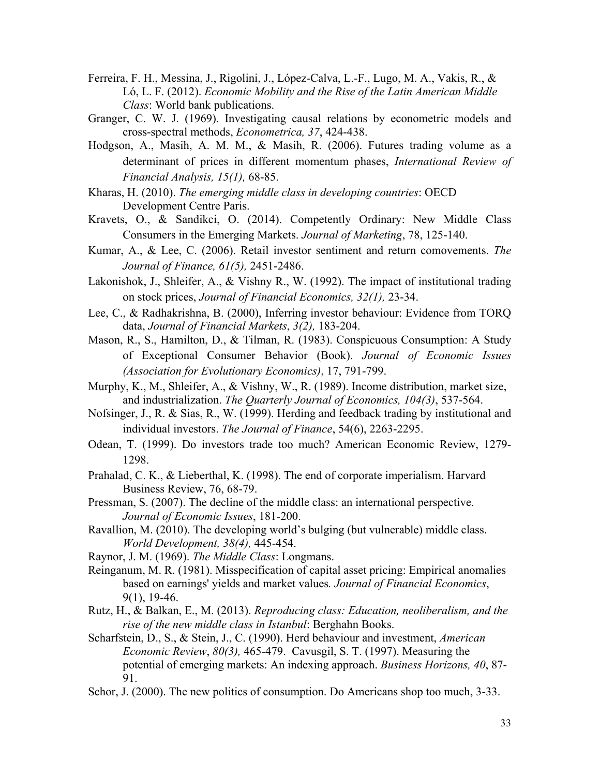- Ferreira, F. H., Messina, J., Rigolini, J., López-Calva, L.-F., Lugo, M. A., Vakis, R., & Ló, L. F. (2012). *Economic Mobility and the Rise of the Latin American Middle Class*: World bank publications.
- Granger, C. W. J. (1969). Investigating causal relations by econometric models and cross-spectral methods, *Econometrica, 37*, 424-438.
- Hodgson, A., Masih, A. M. M., & Masih, R. (2006). Futures trading volume as a determinant of prices in different momentum phases, *International Review of Financial Analysis, 15(1),* 68-85.
- Kharas, H. (2010). *The emerging middle class in developing countries*: OECD Development Centre Paris.
- Kravets, O., & Sandikci, O. (2014). Competently Ordinary: New Middle Class Consumers in the Emerging Markets. *Journal of Marketing*, 78, 125-140.
- Kumar, A., & Lee, C. (2006). Retail investor sentiment and return comovements. *The Journal of Finance, 61(5),* 2451-2486.
- Lakonishok, J., Shleifer, A., & Vishny R., W. (1992). The impact of institutional trading on stock prices, *Journal of Financial Economics, 32(1),* 23-34.
- Lee, C., & Radhakrishna, B. (2000), Inferring investor behaviour: Evidence from TORQ data, *Journal of Financial Markets*, *3(2),* 183-204.
- Mason, R., S., Hamilton, D., & Tilman, R. (1983). Conspicuous Consumption: A Study of Exceptional Consumer Behavior (Book). *Journal of Economic Issues (Association for Evolutionary Economics)*, 17, 791-799.
- Murphy, K., M., Shleifer, A., & Vishny, W., R. (1989). Income distribution, market size, and industrialization. *The Quarterly Journal of Economics, 104(3)*, 537-564.
- Nofsinger, J., R. & Sias, R., W. (1999). Herding and feedback trading by institutional and individual investors. *The Journal of Finance*, 54(6), 2263-2295.
- Odean, T. (1999). Do investors trade too much? American Economic Review, 1279- 1298.
- Prahalad, C. K., & Lieberthal, K. (1998). The end of corporate imperialism. Harvard Business Review, 76, 68-79.
- Pressman, S. (2007). The decline of the middle class: an international perspective. *Journal of Economic Issues*, 181-200.
- Ravallion, M. (2010). The developing world's bulging (but vulnerable) middle class. *World Development, 38(4),* 445-454.
- Raynor, J. M. (1969). *The Middle Class*: Longmans.
- Reinganum, M. R. (1981). Misspecification of capital asset pricing: Empirical anomalies based on earnings' yields and market values*. Journal of Financial Economics*, 9(1), 19-46.
- Rutz, H., & Balkan, E., M. (2013). *Reproducing class: Education, neoliberalism, and the rise of the new middle class in Istanbul*: Berghahn Books.
- Scharfstein, D., S., & Stein, J., C. (1990). Herd behaviour and investment, *American Economic Review*, *80(3),* 465-479. Cavusgil, S. T. (1997). Measuring the potential of emerging markets: An indexing approach. *Business Horizons, 40*, 87- 91.
- Schor, J. (2000). The new politics of consumption. Do Americans shop too much, 3-33.